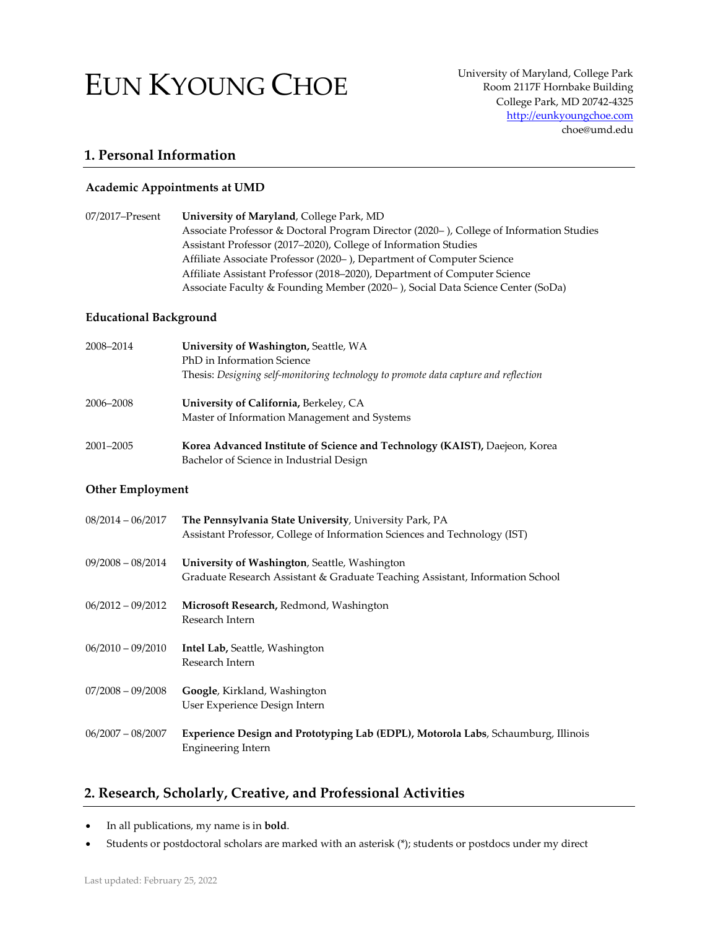# EUN KYOUNG CHOE

University of Maryland, College Park Room 2117F Hornbake Building College Park, MD 20742-4325 [http://eunkyoungchoe.com](http://eunkyoungchoe.com/) choe@umd.edu

# **1. Personal Information**

## **Academic Appointments at UMD**

| 07/2017–Present | University of Maryland, College Park, MD                                                |
|-----------------|-----------------------------------------------------------------------------------------|
|                 | Associate Professor & Doctoral Program Director (2020-), College of Information Studies |
|                 | Assistant Professor (2017–2020), College of Information Studies                         |
|                 | Affiliate Associate Professor (2020–), Department of Computer Science                   |
|                 | Affiliate Assistant Professor (2018–2020), Department of Computer Science               |
|                 | Associate Faculty & Founding Member (2020–), Social Data Science Center (SoDa)          |

## **Educational Background**

| 2008-2014 | University of Washington, Seattle, WA                                               |  |
|-----------|-------------------------------------------------------------------------------------|--|
|           | PhD in Information Science                                                          |  |
|           | Thesis: Designing self-monitoring technology to promote data capture and reflection |  |
| 2006-2008 | University of California, Berkeley, CA                                              |  |
|           | Master of Information Management and Systems                                        |  |
| 2001-2005 | Korea Advanced Institute of Science and Technology (KAIST), Daejeon, Korea          |  |
|           | Bachelor of Science in Industrial Design                                            |  |

#### **Other Employment**

| $08/2014 - 06/2017$ | The Pennsylvania State University, University Park, PA<br>Assistant Professor, College of Information Sciences and Technology (IST) |
|---------------------|-------------------------------------------------------------------------------------------------------------------------------------|
| $09/2008 - 08/2014$ | University of Washington, Seattle, Washington<br>Graduate Research Assistant & Graduate Teaching Assistant, Information School      |
| $06/2012 - 09/2012$ | Microsoft Research, Redmond, Washington<br>Research Intern                                                                          |
| $06/2010 - 09/2010$ | <b>Intel Lab, Seattle, Washington</b><br>Research Intern                                                                            |
| $07/2008 - 09/2008$ | Google, Kirkland, Washington<br>User Experience Design Intern                                                                       |
| $06/2007 - 08/2007$ | Experience Design and Prototyping Lab (EDPL), Motorola Labs, Schaumburg, Illinois<br><b>Engineering Intern</b>                      |

# **2. Research, Scholarly, Creative, and Professional Activities**

- In all publications, my name is in **bold**.
- Students or postdoctoral scholars are marked with an asterisk (\*); students or postdocs under my direct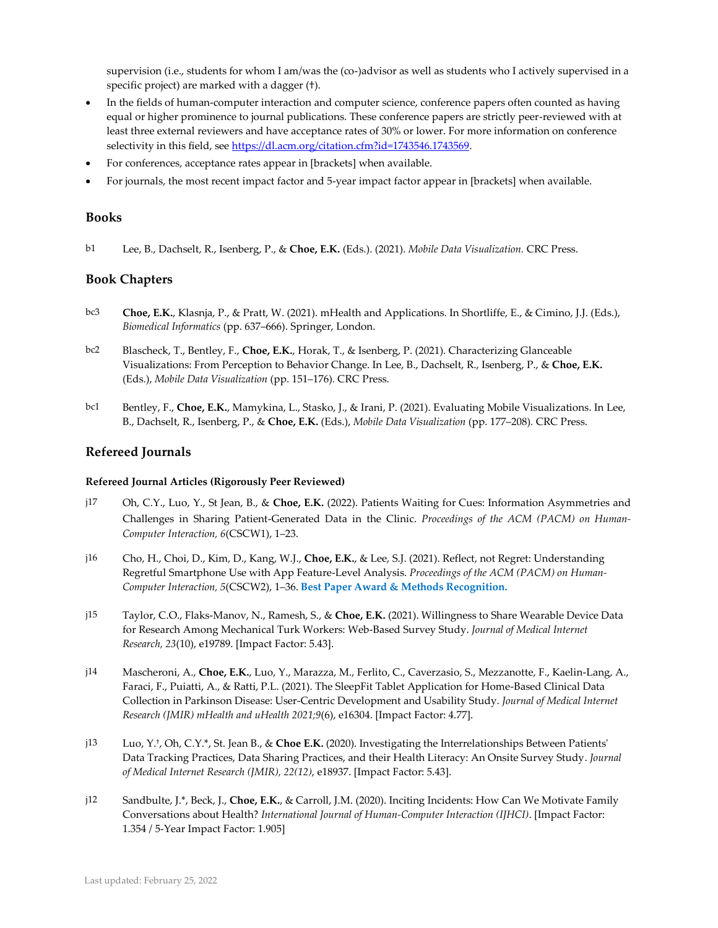supervision (i.e., students for whom I am/was the (co-)advisor as well as students who I actively supervised in a specific project) are marked with a dagger (†).

- In the fields of human-computer interaction and computer science, conference papers often counted as having equal or higher prominence to journal publications. These conference papers are strictly peer-reviewed with at least three external reviewers and have acceptance rates of 30% or lower. For more information on conference selectivity in this field, se[e https://dl.acm.org/citation.cfm?id=1743546.1743569.](https://dl.acm.org/citation.cfm?id=1743546.1743569)
- For conferences, acceptance rates appear in [brackets] when available.
- For journals, the most recent impact factor and 5-year impact factor appear in [brackets] when available.

#### **Books**

b1 Lee, B., Dachselt, R., Isenberg, P., & **Choe, E.K.** (Eds.). (2021). *Mobile Data Visualization.* CRC Press.

## **Book Chapters**

- bc3 **Choe, E.K.**, Klasnja, P., & Pratt, W. (2021). mHealth and Applications. In Shortliffe, E., & Cimino, J.J. (Eds.), *Biomedical Informatics* (pp. 637–666). Springer, London.
- bc2 Blascheck, T., Bentley, F., **Choe, E.K.**, Horak, T., & Isenberg, P. (2021). Characterizing Glanceable Visualizations: From Perception to Behavior Change. In Lee, B., Dachselt, R., Isenberg, P., & **Choe, E.K.** (Eds.), *Mobile Data Visualization* (pp. 151–176)*.* CRC Press.
- bc1 Bentley, F., **Choe, E.K.**, Mamykina, L., Stasko, J., & Irani, P. (2021). Evaluating Mobile Visualizations. In Lee, B., Dachselt, R., Isenberg, P., & **Choe, E.K.** (Eds.), *Mobile Data Visualization* (pp. 177–208)*.* CRC Press.

## **Refereed Journals**

#### **Refereed Journal Articles (Rigorously Peer Reviewed)**

- j17 Oh, C.Y., Luo, Y., St Jean, B., & **Choe, E.K.** (2022). Patients Waiting for Cues: Information Asymmetries and Challenges in Sharing Patient-Generated Data in the Clinic. *Proceedings of the ACM (PACM) on Human-Computer Interaction, 6*(CSCW1), 1–23.
- j16 Cho, H., Choi, D., Kim, D., Kang, W.J., **Choe, E.K.**, & Lee, S.J. (2021). Reflect, not Regret: Understanding Regretful Smartphone Use with App Feature-Level Analysis. *Proceedings of the ACM (PACM) on Human-Computer Interaction, 5*(CSCW2), 1–36. **Best Paper Award & Methods Recognition.**
- j15 Taylor, C.O., Flaks-Manov, N., Ramesh, S., & **Choe, E.K.** (2021). Willingness to Share Wearable Device Data for Research Among Mechanical Turk Workers: Web-Based Survey Study. *Journal of Medical Internet Research, 23*(10), e19789. [Impact Factor: 5.43].
- j14 Mascheroni, A., **Choe, E.K.**, Luo, Y., Marazza, M., Ferlito, C., Caverzasio, S., Mezzanotte, F., Kaelin-Lang, A., Faraci, F., Puiatti, A., & Ratti, P.L. (2021). The SleepFit Tablet Application for Home-Based Clinical Data Collection in Parkinson Disease: User-Centric Development and Usability Study. *Journal of Medical Internet Research (JMIR) mHealth and uHealth 2021;9*(6), e16304. [Impact Factor: 4.77].
- j13 Luo, Y. † , Oh, C.Y.\*, St. Jean B., & **Choe E.K.** (2020). Investigating the Interrelationships Between Patients' Data Tracking Practices, Data Sharing Practices, and their Health Literacy: An Onsite Survey Study. *Journal of Medical Internet Research (JMIR), 22(12)*, e18937. [Impact Factor: 5.43].
- j12 Sandbulte, J.\*, Beck, J., **Choe, E.K.**, & Carroll, J.M. (2020). Inciting Incidents: How Can We Motivate Family Conversations about Health? *International Journal of Human-Computer Interaction (IJHCI)*. [Impact Factor: 1.354 / 5-Year Impact Factor: 1.905]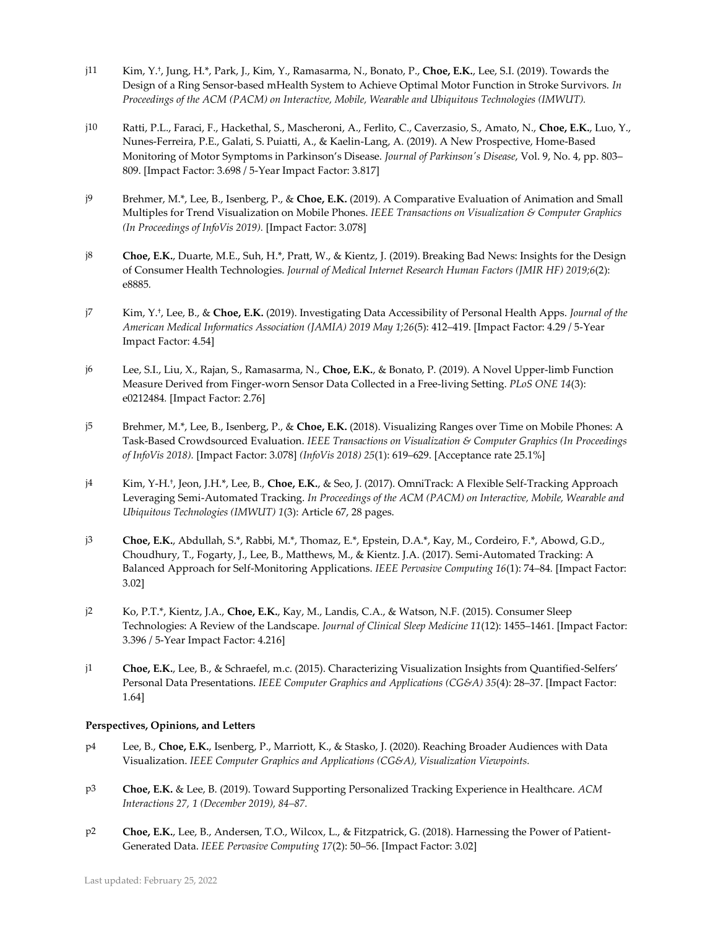- j11 Kim, Y. † , Jung, H.\*, Park, J., Kim, Y., Ramasarma, N., Bonato, P., **Choe, E.K.**, Lee, S.I. (2019). Towards the Design of a Ring Sensor-based mHealth System to Achieve Optimal Motor Function in Stroke Survivors. *In Proceedings of the ACM (PACM) on Interactive, Mobile, Wearable and Ubiquitous Technologies (IMWUT).*
- j10 Ratti, P.L., Faraci, F., Hackethal, S., Mascheroni, A., Ferlito, C., Caverzasio, S., Amato, N., **Choe, E.K.**, Luo, Y., Nunes-Ferreira, P.E., Galati, S. Puiatti, A., & Kaelin-Lang, A. (2019). A New Prospective, Home-Based Monitoring of Motor Symptoms in Parkinson's Disease. *Journal of Parkinson's Disease*, Vol. 9, No. 4, pp. 803– 809. [Impact Factor: 3.698 / 5-Year Impact Factor: 3.817]
- j9 Brehmer, M.\*, Lee, B., Isenberg, P., & **Choe, E.K.** (2019). A Comparative Evaluation of Animation and Small Multiples for Trend Visualization on Mobile Phones. *IEEE Transactions on Visualization & Computer Graphics (In Proceedings of InfoVis 2019).* [Impact Factor: 3.078]
- j8 **Choe, E.K.**, Duarte, M.E., Suh, H.\*, Pratt, W., & Kientz, J. (2019). Breaking Bad News: Insights for the Design of Consumer Health Technologies. *Journal of Medical Internet Research Human Factors (JMIR HF) 2019;6*(2): e8885*.*
- j7 Kim, Y. † , Lee, B., & **Choe, E.K.** (2019). Investigating Data Accessibility of Personal Health Apps. *Journal of the American Medical Informatics Association (JAMIA) 2019 May 1;26*(5): 412–419. [Impact Factor: 4.29 / 5-Year Impact Factor: 4.54]
- j6 Lee, S.I., Liu, X., Rajan, S., Ramasarma, N., **Choe, E.K.**, & Bonato, P. (2019). A Novel Upper-limb Function Measure Derived from Finger-worn Sensor Data Collected in a Free-living Setting. *PLoS ONE 14*(3): e0212484*.* [Impact Factor: 2.76]
- j5 Brehmer, M.\*, Lee, B., Isenberg, P., & **Choe, E.K.** (2018). Visualizing Ranges over Time on Mobile Phones: A Task-Based Crowdsourced Evaluation. *IEEE Transactions on Visualization & Computer Graphics (In Proceedings of InfoVis 2018).* [Impact Factor: 3.078] *(InfoVis 2018) 25*(1): 619–629. [Acceptance rate 25.1%]
- j4 Kim, Y-H. † , Jeon, J.H.\*, Lee, B., **Choe, E.K.**, & Seo, J. (2017). OmniTrack: A Flexible Self-Tracking Approach Leveraging Semi-Automated Tracking. *In Proceedings of the ACM (PACM) on Interactive, Mobile, Wearable and Ubiquitous Technologies (IMWUT) 1*(3): Article 67, 28 pages.
- j3 **Choe, E.K.**, Abdullah, S.\*, Rabbi, M.\*, Thomaz, E.\*, Epstein, D.A.\*, Kay, M., Cordeiro, F.\*, Abowd, G.D., Choudhury, T., Fogarty, J., Lee, B., Matthews, M., & Kientz. J.A. (2017). Semi-Automated Tracking: A Balanced Approach for Self-Monitoring Applications. *IEEE Pervasive Computing 16*(1): 74–84*.* [Impact Factor: 3.02]
- j2 Ko, P.T.\*, Kientz, J.A., **Choe, E.K.**, Kay, M., Landis, C.A., & Watson, N.F. (2015). Consumer Sleep Technologies: A Review of the Landscape. *Journal of Clinical Sleep Medicine 11*(12): 1455–1461. [Impact Factor: 3.396 / 5-Year Impact Factor: 4.216]
- j1 **Choe, E.K.**, Lee, B., & Schraefel, m.c. (2015). Characterizing Visualization Insights from Quantified-Selfers' Personal Data Presentations. *IEEE Computer Graphics and Applications (CG&A) 35*(4): 28–37. [Impact Factor: 1.64]

## **Perspectives, Opinions, and Letters**

- p4 Lee, B., **Choe, E.K.**, Isenberg, P., Marriott, K., & Stasko, J. (2020). Reaching Broader Audiences with Data Visualization. *IEEE Computer Graphics and Applications (CG&A), Visualization Viewpoints.*
- p3 **Choe, E.K.** & Lee, B. (2019). Toward Supporting Personalized Tracking Experience in Healthcare. *ACM Interactions 27, 1 (December 2019), 84–87.*
- p2 **Choe, E.K.**, Lee, B., Andersen, T.O., Wilcox, L., & Fitzpatrick, G. (2018). Harnessing the Power of Patient-Generated Data. *IEEE Pervasive Computing 17*(2): 50–56. [Impact Factor: 3.02]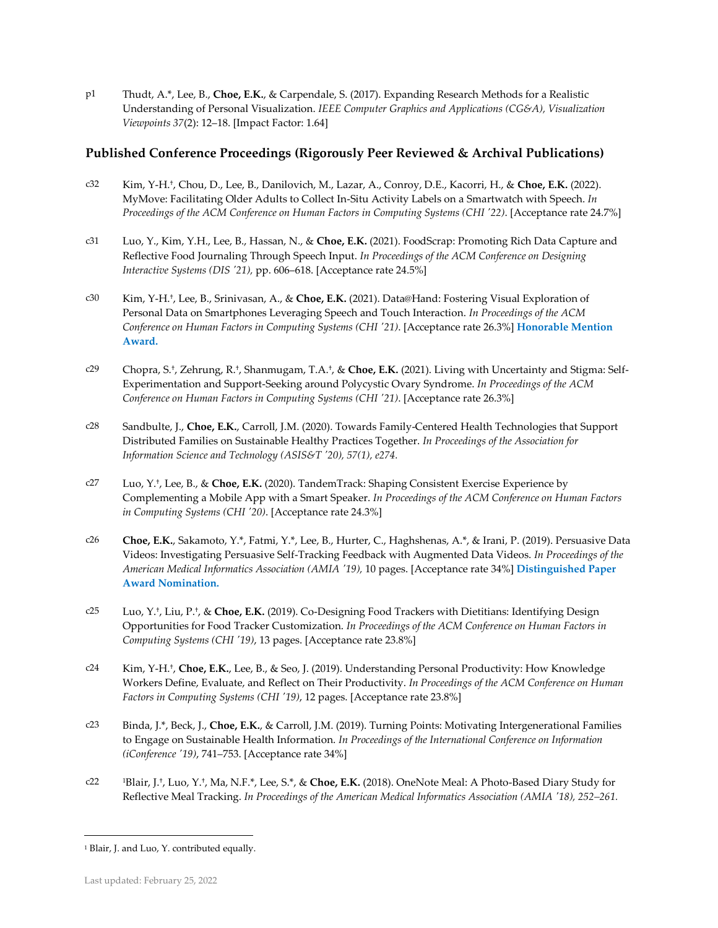p1 Thudt, A.\*, Lee, B., **Choe, E.K.**, & Carpendale, S. (2017). Expanding Research Methods for a Realistic Understanding of Personal Visualization. *IEEE Computer Graphics and Applications (CG&A), Visualization Viewpoints 37*(2): 12–18. [Impact Factor: 1.64]

## **Published Conference Proceedings (Rigorously Peer Reviewed & Archival Publications)**

- c32 Kim, Y-H.† , Chou, D., Lee, B., Danilovich, M., Lazar, A., Conroy, D.E., Kacorri, H., & **Choe, E.K.** (2022). MyMove: Facilitating Older Adults to Collect In-Situ Activity Labels on a Smartwatch with Speech. *In Proceedings of the ACM Conference on Human Factors in Computing Systems (CHI '22)*. [Acceptance rate 24.7%]
- c31 Luo, Y., Kim, Y.H., Lee, B., Hassan, N., & **Choe, E.K.** (2021). FoodScrap: Promoting Rich Data Capture and Reflective Food Journaling Through Speech Input. *In Proceedings of the ACM Conference on Designing Interactive Systems (DIS '21),* pp. 606–618. [Acceptance rate 24.5%]
- c30 Kim, Y-H.† , Lee, B., Srinivasan, A., & **Choe, E.K.** (2021). Data@Hand: Fostering Visual Exploration of Personal Data on Smartphones Leveraging Speech and Touch Interaction. *In Proceedings of the ACM Conference on Human Factors in Computing Systems (CHI '21)*. [Acceptance rate 26.3%] **Honorable Mention Award.**
- c29 Chopra, S.† , Zehrung, R.† , Shanmugam, T.A.† , & **Choe, E.K.** (2021). Living with Uncertainty and Stigma: Self-Experimentation and Support-Seeking around Polycystic Ovary Syndrome. *In Proceedings of the ACM Conference on Human Factors in Computing Systems (CHI '21)*. [Acceptance rate 26.3%]
- c28 Sandbulte, J., **Choe, E.K.**, Carroll, J.M. (2020). Towards Family-Centered Health Technologies that Support Distributed Families on Sustainable Healthy Practices Together. *In Proceedings of the Association for Information Science and Technology (ASIS&T '20), 57(1), e274.*
- c27 Luo, Y. † , Lee, B., & **Choe, E.K.** (2020). TandemTrack: Shaping Consistent Exercise Experience by Complementing a Mobile App with a Smart Speaker. *In Proceedings of the ACM Conference on Human Factors in Computing Systems (CHI '20)*. [Acceptance rate 24.3%]
- c26 **Choe, E.K.**, Sakamoto, Y.\*, Fatmi, Y.\*, Lee, B., Hurter, C., Haghshenas, A.\*, & Irani, P. (2019). Persuasive Data Videos: Investigating Persuasive Self-Tracking Feedback with Augmented Data Videos. *In Proceedings of the American Medical Informatics Association (AMIA '19),* 10 pages. [Acceptance rate 34%] **Distinguished Paper Award Nomination.**
- c25 Luo, Y.† , Liu, P. † , & **Choe, E.K.** (2019). Co-Designing Food Trackers with Dietitians: Identifying Design Opportunities for Food Tracker Customization. *In Proceedings of the ACM Conference on Human Factors in Computing Systems (CHI '19)*, 13 pages. [Acceptance rate 23.8%]
- c24 Kim, Y-H.† , **Choe, E.K.**, Lee, B., & Seo, J. (2019). Understanding Personal Productivity: How Knowledge Workers Define, Evaluate, and Reflect on Their Productivity. *In Proceedings of the ACM Conference on Human Factors in Computing Systems (CHI '19)*, 12 pages. [Acceptance rate 23.8%]
- c23 Binda, J.\*, Beck, J., **Choe, E.K.**, & Carroll, J.M. (2019). Turning Points: Motivating Intergenerational Families to Engage on Sustainable Health Information. *In Proceedings of the International Conference on Information (iConference '19)*, 741–753. [Acceptance rate 34%]
- c22 <sup>1</sup>Blair, J.† , Luo, Y.† , Ma, N.F.\*, Lee, S.\*, & **Choe, E.K.** (2018). OneNote Meal: A Photo-Based Diary Study for Reflective Meal Tracking. *In Proceedings of the American Medical Informatics Association (AMIA '18), 252–261.*

<sup>&</sup>lt;sup>1</sup> Blair, J. and Luo, Y. contributed equally.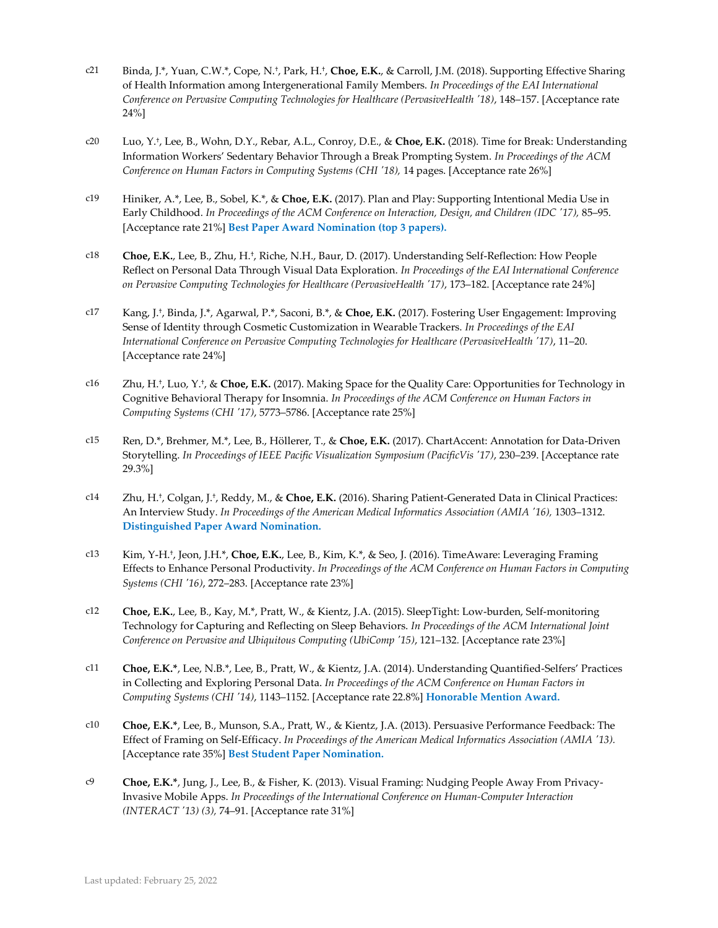- c21 Binda, J.\*, Yuan, C.W.\*, Cope, N.† , Park, H.† , **Choe, E.K.**, & Carroll, J.M. (2018). Supporting Effective Sharing of Health Information among Intergenerational Family Members. *In Proceedings of the EAI International Conference on Pervasive Computing Technologies for Healthcare (PervasiveHealth '18)*, 148–157. [Acceptance rate 24%]
- c20 Luo, Y.† , Lee, B., Wohn, D.Y., Rebar, A.L., Conroy, D.E., & **Choe, E.K.** (2018). Time for Break: Understanding Information Workers' Sedentary Behavior Through a Break Prompting System. *In Proceedings of the ACM Conference on Human Factors in Computing Systems (CHI '18), 14 pages. [Acceptance rate 26%]*
- c19 Hiniker, A.\*, Lee, B., Sobel, K.\*, & **Choe, E.K.** (2017). Plan and Play: Supporting Intentional Media Use in Early Childhood. *In Proceedings of the ACM Conference on Interaction, Design, and Children (IDC '17),* 85–95. [Acceptance rate 21%] **Best Paper Award Nomination (top 3 papers).**
- c18 **Choe, E.K.**, Lee, B., Zhu, H.† , Riche, N.H., Baur, D. (2017). Understanding Self-Reflection: How People Reflect on Personal Data Through Visual Data Exploration. *In Proceedings of the EAI International Conference on Pervasive Computing Technologies for Healthcare (PervasiveHealth '17)*, 173–182. [Acceptance rate 24%]
- c17 Kang, J.† , Binda, J.\*, Agarwal, P.\*, Saconi, B.\*, & **Choe, E.K.** (2017). Fostering User Engagement: Improving Sense of Identity through Cosmetic Customization in Wearable Trackers. *In Proceedings of the EAI International Conference on Pervasive Computing Technologies for Healthcare (PervasiveHealth '17)*, 11–20. [Acceptance rate 24%]
- c16 Zhu, H.† , Luo, Y.† , & **Choe, E.K.** (2017). Making Space for the Quality Care: Opportunities for Technology in Cognitive Behavioral Therapy for Insomnia. *In Proceedings of the ACM Conference on Human Factors in Computing Systems (CHI '17)*, 5773–5786. [Acceptance rate 25%]
- c15 Ren, D.\*, Brehmer, M.\*, Lee, B., Höllerer, T., & **Choe, E.K.** (2017). ChartAccent: Annotation for Data-Driven Storytelling. *In Proceedings of IEEE Pacific Visualization Symposium (PacificVis '17)*, 230–239. [Acceptance rate 29.3%]
- c14 Zhu, H.† , Colgan, J.† , Reddy, M., & **Choe, E.K.** (2016). Sharing Patient-Generated Data in Clinical Practices: An Interview Study. *In Proceedings of the American Medical Informatics Association (AMIA '16)*, 1303–1312. **Distinguished Paper Award Nomination.**
- c13 Kim, Y-H.† , Jeon, J.H.\*, **Choe, E.K.**, Lee, B., Kim, K.\*, & Seo, J. (2016). TimeAware: Leveraging Framing Effects to Enhance Personal Productivity. *In Proceedings of the ACM Conference on Human Factors in Computing Systems (CHI '16)*, 272–283. [Acceptance rate 23%]
- c12 **Choe, E.K.**, Lee, B., Kay, M.\*, Pratt, W., & Kientz, J.A. (2015). SleepTight: Low-burden, Self-monitoring Technology for Capturing and Reflecting on Sleep Behaviors. *In Proceedings of the ACM International Joint Conference on Pervasive and Ubiquitous Computing (UbiComp '15)*, 121–132*.* [Acceptance rate 23%]
- c11 **Choe, E.K.\***, Lee, N.B.\*, Lee, B., Pratt, W., & Kientz, J.A. (2014). Understanding Quantified-Selfers' Practices in Collecting and Exploring Personal Data. *In Proceedings of the ACM Conference on Human Factors in Computing Systems (CHI '14)*, 1143–1152. [Acceptance rate 22.8%] **Honorable Mention Award.**
- c10 **Choe, E.K.\***, Lee, B., Munson, S.A., Pratt, W., & Kientz, J.A. (2013). Persuasive Performance Feedback: The Effect of Framing on Self-Efficacy. *In Proceedings of the American Medical Informatics Association (AMIA '13).* [Acceptance rate 35%] **Best Student Paper Nomination.**
- c9 **Choe, E.K.\***, Jung, J., Lee, B., & Fisher, K. (2013). Visual Framing: Nudging People Away From Privacy-Invasive Mobile Apps. *In Proceedings of the International Conference on Human-Computer Interaction (INTERACT '13) (3),* 74–91. [Acceptance rate 31%]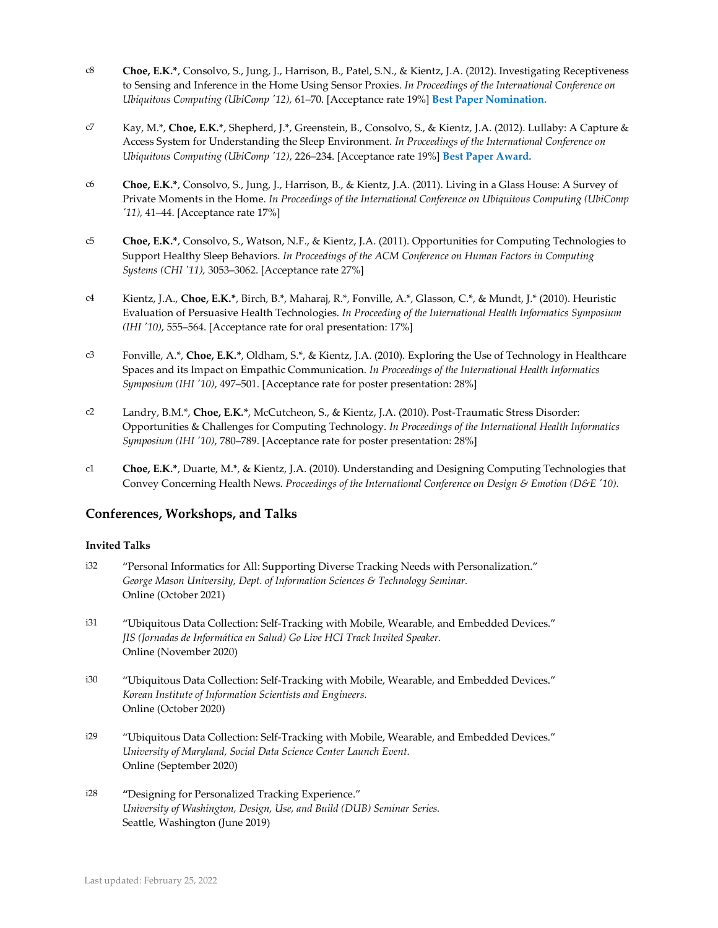- c8 **Choe, E.K.\***, Consolvo, S., Jung, J., Harrison, B., Patel, S.N., & Kientz, J.A. (2012). Investigating Receptiveness to Sensing and Inference in the Home Using Sensor Proxies. *In Proceedings of the International Conference on Ubiquitous Computing (UbiComp '12),* 61–70. [Acceptance rate 19%] **Best Paper Nomination.**
- c7 Kay, M.\*, **Choe, E.K.\***, Shepherd, J.\*, Greenstein, B., Consolvo, S., & Kientz, J.A. (2012). Lullaby: A Capture & Access System for Understanding the Sleep Environment. *In Proceedings of the International Conference on Ubiquitous Computing (UbiComp '12)*, 226–234. [Acceptance rate 19%] **Best Paper Award.**
- c6 **Choe, E.K.\***, Consolvo, S., Jung, J., Harrison, B., & Kientz, J.A. (2011). Living in a Glass House: A Survey of Private Moments in the Home. *In Proceedings of the International Conference on Ubiquitous Computing (UbiComp '11),* 41–44. [Acceptance rate 17%]
- c5 **Choe, E.K.\***, Consolvo, S., Watson, N.F., & Kientz, J.A. (2011). Opportunities for Computing Technologies to Support Healthy Sleep Behaviors. *In Proceedings of the ACM Conference on Human Factors in Computing Systems (CHI '11),* 3053–3062. [Acceptance rate 27%]
- c4 Kientz, J.A., **Choe, E.K.\***, Birch, B.\*, Maharaj, R.\*, Fonville, A.\*, Glasson, C.\*, & Mundt, J.\* (2010). Heuristic Evaluation of Persuasive Health Technologies. *In Proceeding of the International Health Informatics Symposium (IHI '10)*, 555–564. [Acceptance rate for oral presentation: 17%]
- c3 Fonville, A.\*, **Choe, E.K.\***, Oldham, S.\*, & Kientz, J.A. (2010). Exploring the Use of Technology in Healthcare Spaces and its Impact on Empathic Communication. *In Proceedings of the International Health Informatics Symposium (IHI '10)*, 497–501. [Acceptance rate for poster presentation: 28%]
- c2 Landry, B.M.\*, **Choe, E.K.\***, McCutcheon, S., & Kientz, J.A. (2010). Post-Traumatic Stress Disorder: Opportunities & Challenges for Computing Technology. *In Proceedings of the International Health Informatics Symposium (IHI '10)*, 780–789. [Acceptance rate for poster presentation: 28%]
- c1 **Choe, E.K.\***, Duarte, M.\*, & Kientz, J.A. (2010). Understanding and Designing Computing Technologies that Convey Concerning Health News. *Proceedings of the International Conference on Design & Emotion (D&E '10).*

## **Conferences, Workshops, and Talks**

#### **Invited Talks**

- i32 "Personal Informatics for All: Supporting Diverse Tracking Needs with Personalization." *George Mason University, Dept. of Information Sciences & Technology Seminar.* Online (October 2021)
- i31 "Ubiquitous Data Collection: Self-Tracking with Mobile, Wearable, and Embedded Devices." *JIS (Jornadas de Informática en Salud) Go Live HCI Track Invited Speaker.* Online (November 2020)
- i30 "Ubiquitous Data Collection: Self-Tracking with Mobile, Wearable, and Embedded Devices." *Korean Institute of Information Scientists and Engineers.* Online (October 2020)
- i29 "Ubiquitous Data Collection: Self-Tracking with Mobile, Wearable, and Embedded Devices." *University of Maryland, Social Data Science Center Launch Event.* Online (September 2020)
- i28 **"**Designing for Personalized Tracking Experience." *University of Washington, Design, Use, and Build (DUB) Seminar Series.* Seattle, Washington (June 2019)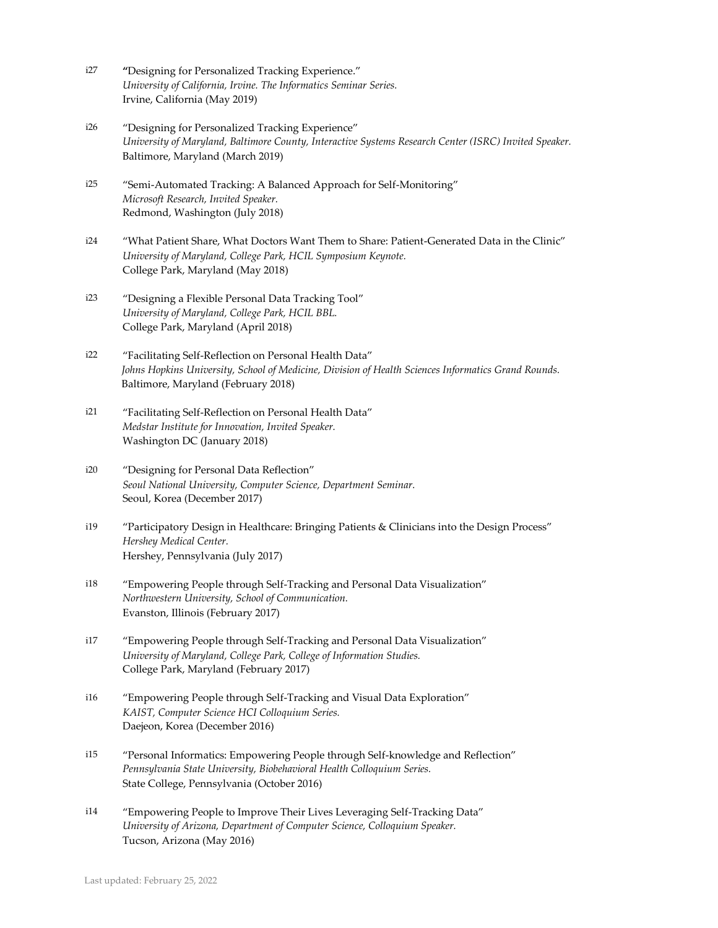- i27 **"**Designing for Personalized Tracking Experience." *University of California, Irvine. The Informatics Seminar Series.* Irvine, California (May 2019)
- i26 "Designing for Personalized Tracking Experience" *University of Maryland, Baltimore County, Interactive Systems Research Center (ISRC) Invited Speaker.*  Baltimore, Maryland (March 2019)
- i25 "Semi-Automated Tracking: A Balanced Approach for Self-Monitoring" *Microsoft Research, Invited Speaker.* Redmond, Washington (July 2018)
- i24 "What Patient Share, What Doctors Want Them to Share: Patient-Generated Data in the Clinic" *University of Maryland, College Park, HCIL Symposium Keynote.* College Park, Maryland (May 2018)
- i23 "Designing a Flexible Personal Data Tracking Tool" *University of Maryland, College Park, HCIL BBL.*  College Park, Maryland (April 2018)
- i22 "Facilitating Self-Reflection on Personal Health Data" *Johns Hopkins University, School of Medicine, Division of Health Sciences Informatics Grand Rounds.* Baltimore, Maryland (February 2018)
- i21 "Facilitating Self-Reflection on Personal Health Data" *Medstar Institute for Innovation, Invited Speaker.* Washington DC (January 2018)
- i20 "Designing for Personal Data Reflection" *Seoul National University, Computer Science, Department Seminar.* Seoul, Korea (December 2017)
- i19 "Participatory Design in Healthcare: Bringing Patients & Clinicians into the Design Process" *Hershey Medical Center.*  Hershey, Pennsylvania (July 2017)
- i18 "Empowering People through Self-Tracking and Personal Data Visualization" *Northwestern University, School of Communication.* Evanston, Illinois (February 2017)
- i17 "Empowering People through Self-Tracking and Personal Data Visualization" *University of Maryland, College Park, College of Information Studies.* College Park, Maryland (February 2017)
- i16 "Empowering People through Self-Tracking and Visual Data Exploration" *KAIST, Computer Science HCI Colloquium Series.*  Daejeon, Korea (December 2016)
- i15 "Personal Informatics: Empowering People through Self-knowledge and Reflection" *Pennsylvania State University, Biobehavioral Health Colloquium Series.* State College, Pennsylvania (October 2016)
- i14 "Empowering People to Improve Their Lives Leveraging Self-Tracking Data" *University of Arizona, Department of Computer Science, Colloquium Speaker.*  Tucson, Arizona (May 2016)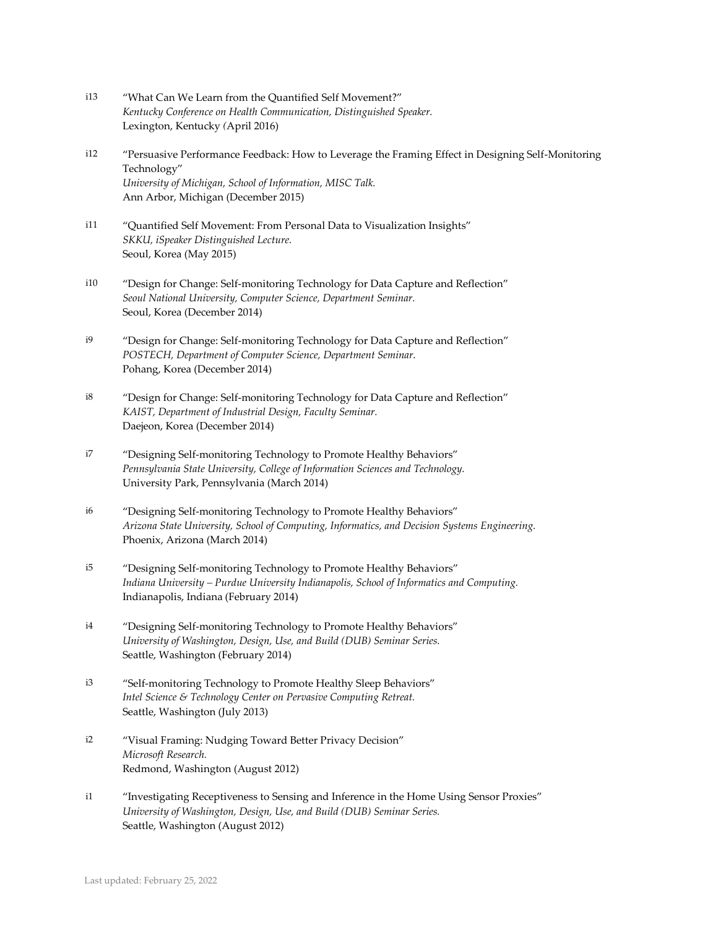- i13 "What Can We Learn from the Quantified Self Movement?" *Kentucky Conference on Health Communication, Distinguished Speaker.* Lexington, Kentucky *(*April 2016)
- i12 "Persuasive Performance Feedback: How to Leverage the Framing Effect in Designing Self-Monitoring Technology" *University of Michigan, School of Information, MISC Talk.*  Ann Arbor, Michigan (December 2015)
- i11 "Quantified Self Movement: From Personal Data to Visualization Insights" *SKKU, iSpeaker Distinguished Lecture.*  Seoul, Korea (May 2015)
- i10 "Design for Change: Self-monitoring Technology for Data Capture and Reflection" *Seoul National University, Computer Science, Department Seminar.* Seoul, Korea (December 2014)
- i9 "Design for Change: Self-monitoring Technology for Data Capture and Reflection" *POSTECH, Department of Computer Science, Department Seminar.* Pohang, Korea (December 2014)
- i8 "Design for Change: Self-monitoring Technology for Data Capture and Reflection" *KAIST, Department of Industrial Design, Faculty Seminar.* Daejeon, Korea (December 2014)
- i7 "Designing Self-monitoring Technology to Promote Healthy Behaviors" *Pennsylvania State University, College of Information Sciences and Technology.* University Park, Pennsylvania (March 2014)
- i6 "Designing Self-monitoring Technology to Promote Healthy Behaviors" *Arizona State University, School of Computing, Informatics, and Decision Systems Engineering.* Phoenix, Arizona (March 2014)
- i5 "Designing Self-monitoring Technology to Promote Healthy Behaviors" *Indiana University – Purdue University Indianapolis, School of Informatics and Computing.* Indianapolis, Indiana (February 2014)
- i4 "Designing Self-monitoring Technology to Promote Healthy Behaviors" *University of Washington, Design, Use, and Build (DUB) Seminar Series.* Seattle, Washington (February 2014)
- i3 "Self-monitoring Technology to Promote Healthy Sleep Behaviors" *Intel Science & Technology Center on Pervasive Computing Retreat.* Seattle, Washington (July 2013)
- i2 "Visual Framing: Nudging Toward Better Privacy Decision" *Microsoft Research.* Redmond, Washington (August 2012)
- i1 "Investigating Receptiveness to Sensing and Inference in the Home Using Sensor Proxies" *University of Washington, Design, Use, and Build (DUB) Seminar Series.* Seattle, Washington (August 2012)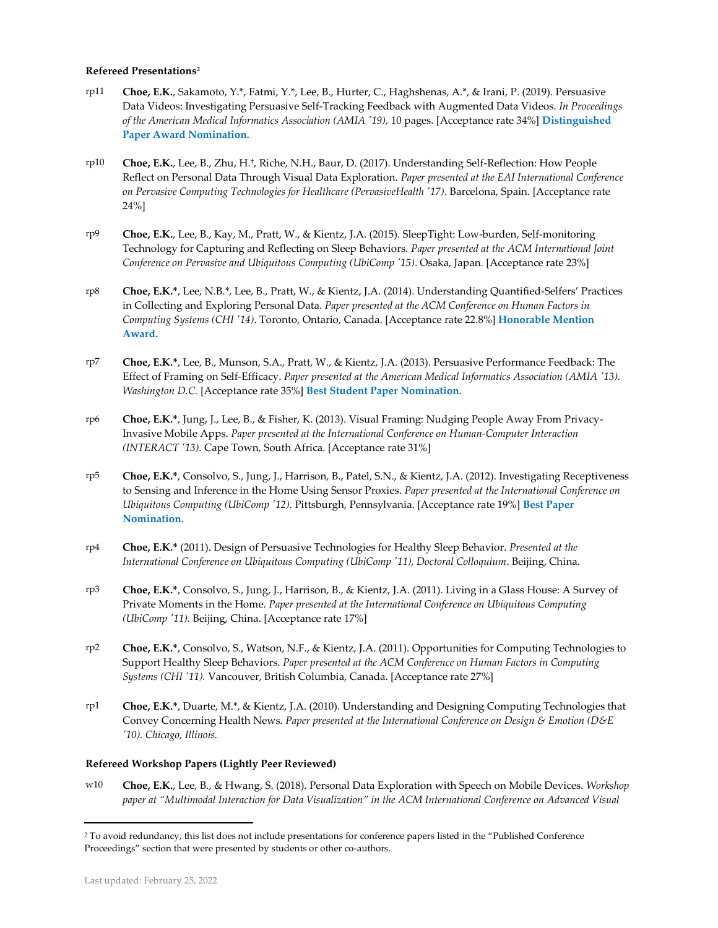#### **Refereed Presentations<sup>2</sup>**

- rp11 **Choe, E.K.**, Sakamoto, Y.\*, Fatmi, Y.\*, Lee, B., Hurter, C., Haghshenas, A.\*, & Irani, P. (2019). Persuasive Data Videos: Investigating Persuasive Self-Tracking Feedback with Augmented Data Videos. *In Proceedings of the American Medical Informatics Association (AMIA '19),* 10 pages. [Acceptance rate 34%] **Distinguished Paper Award Nomination.**
- rp10 **Choe, E.K.**, Lee, B., Zhu, H.† , Riche, N.H., Baur, D. (2017). Understanding Self-Reflection: How People Reflect on Personal Data Through Visual Data Exploration. *Paper presented at the EAI International Conference on Pervasive Computing Technologies for Healthcare (PervasiveHealth '17)*. Barcelona, Spain. [Acceptance rate 24%]
- rp9 **Choe, E.K.**, Lee, B., Kay, M., Pratt, W., & Kientz, J.A. (2015). SleepTight: Low-burden, Self-monitoring Technology for Capturing and Reflecting on Sleep Behaviors. *Paper presented at the ACM International Joint Conference on Pervasive and Ubiquitous Computing (UbiComp '15)*. Osaka, Japan*.* [Acceptance rate 23%]
- rp8 **Choe, E.K.\***, Lee, N.B.\*, Lee, B., Pratt, W., & Kientz, J.A. (2014). Understanding Quantified-Selfers' Practices in Collecting and Exploring Personal Data. *Paper presented at the ACM Conference on Human Factors in Computing Systems (CHI '14)*. Toronto, Ontario, Canada. [Acceptance rate 22.8%] **Honorable Mention Award.**
- rp7 **Choe, E.K.\***, Lee, B., Munson, S.A., Pratt, W., & Kientz, J.A. (2013). Persuasive Performance Feedback: The Effect of Framing on Self-Efficacy. *Paper presented at the American Medical Informatics Association (AMIA '13). Washington D.C.* [Acceptance rate 35%] **Best Student Paper Nomination.**
- rp6 **Choe, E.K.\***, Jung, J., Lee, B., & Fisher, K. (2013). Visual Framing: Nudging People Away From Privacy-Invasive Mobile Apps. *Paper presented at the International Conference on Human-Computer Interaction (INTERACT '13).* Cape Town, South Africa. [Acceptance rate 31%]
- rp5 **Choe, E.K.\***, Consolvo, S., Jung, J., Harrison, B., Patel, S.N., & Kientz, J.A. (2012). Investigating Receptiveness to Sensing and Inference in the Home Using Sensor Proxies. *Paper presented at the International Conference on Ubiquitous Computing (UbiComp '12).* Pittsburgh, Pennsylvania. [Acceptance rate 19%] **Best Paper Nomination.**
- rp4 **Choe, E.K.\*** (2011). Design of Persuasive Technologies for Healthy Sleep Behavior. *Presented at the International Conference on Ubiquitous Computing (UbiComp '11), Doctoral Colloquium*. Beijing, China.
- rp3 **Choe, E.K.\***, Consolvo, S., Jung, J., Harrison, B., & Kientz, J.A. (2011). Living in a Glass House: A Survey of Private Moments in the Home. *Paper presented at the International Conference on Ubiquitous Computing (UbiComp '11).* Beijing, China. [Acceptance rate 17%]
- rp2 **Choe, E.K.\***, Consolvo, S., Watson, N.F., & Kientz, J.A. (2011). Opportunities for Computing Technologies to Support Healthy Sleep Behaviors. *Paper presented at the ACM Conference on Human Factors in Computing Systems (CHI '11).* Vancouver, British Columbia, Canada. [Acceptance rate 27%]
- rp1 **Choe, E.K.\***, Duarte, M.\*, & Kientz, J.A. (2010). Understanding and Designing Computing Technologies that Convey Concerning Health News. *Paper presented at the International Conference on Design & Emotion (D&E '10). Chicago, Illinois.*

#### **Refereed Workshop Papers (Lightly Peer Reviewed)**

w10 **Choe, E.K.**, Lee, B., & Hwang, S. (2018). Personal Data Exploration with Speech on Mobile Devices. *Workshop paper at "Multimodal Interaction for Data Visualization" in the ACM International Conference on Advanced Visual* 

<sup>2</sup> To avoid redundancy, this list does not include presentations for conference papers listed in the "Published Conference Proceedings" section that were presented by students or other co-authors.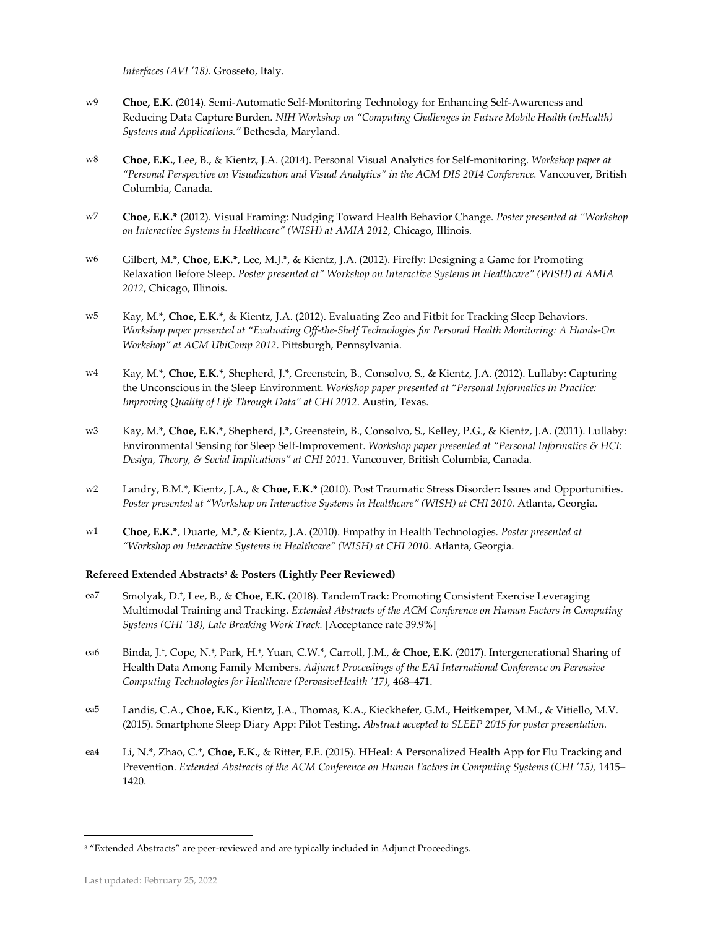*Interfaces (AVI '18).* Grosseto, Italy.

- w9 **Choe, E.K.** (2014). Semi-Automatic Self-Monitoring Technology for Enhancing Self-Awareness and Reducing Data Capture Burden. *NIH Workshop on "Computing Challenges in Future Mobile Health (mHealth) Systems and Applications."* Bethesda, Maryland.
- w8 **Choe, E.K.**, Lee, B., & Kientz, J.A. (2014). Personal Visual Analytics for Self-monitoring. *Workshop paper at "Personal Perspective on Visualization and Visual Analytics" in the ACM DIS 2014 Conference.* Vancouver, British Columbia, Canada.
- w7 **Choe, E.K.\*** (2012). Visual Framing: Nudging Toward Health Behavior Change. *Poster presented at "Workshop on Interactive Systems in Healthcare" (WISH) at AMIA 2012*, Chicago, Illinois.
- w6 Gilbert, M.\*, **Choe, E.K.\***, Lee, M.J.\*, & Kientz, J.A. (2012). Firefly: Designing a Game for Promoting Relaxation Before Sleep. *Poster presented at" Workshop on Interactive Systems in Healthcare" (WISH) at AMIA 2012*, Chicago, Illinois.
- w5 Kay, M.\*, **Choe, E.K.\***, & Kientz, J.A. (2012). Evaluating Zeo and Fitbit for Tracking Sleep Behaviors. *Workshop paper presented at "Evaluating Off-the-Shelf Technologies for Personal Health Monitoring: A Hands-On Workshop" at ACM UbiComp 2012*. Pittsburgh, Pennsylvania.
- w4 Kay, M.\*, **Choe, E.K.\***, Shepherd, J.\*, Greenstein, B., Consolvo, S., & Kientz, J.A. (2012). Lullaby: Capturing the Unconscious in the Sleep Environment. *Workshop paper presented at "Personal Informatics in Practice: Improving Quality of Life Through Data" at CHI 2012*. Austin, Texas.
- w3 Kay, M.\*, **Choe, E.K.\***, Shepherd, J.\*, Greenstein, B., Consolvo, S., Kelley, P.G., & Kientz, J.A. (2011). Lullaby: Environmental Sensing for Sleep Self-Improvement. *Workshop paper presented at "Personal Informatics & HCI: Design, Theory, & Social Implications" at CHI 2011*. Vancouver, British Columbia, Canada.
- w2 Landry, B.M.\*, Kientz, J.A., & **Choe, E.K.\*** (2010). Post Traumatic Stress Disorder: Issues and Opportunities. *Poster presented at "Workshop on Interactive Systems in Healthcare" (WISH) at CHI 2010.* Atlanta, Georgia.
- w1 **Choe, E.K.\***, Duarte, M.\*, & Kientz, J.A. (2010). Empathy in Health Technologies. *Poster presented at "Workshop on Interactive Systems in Healthcare" (WISH) at CHI 2010*. Atlanta, Georgia.

#### **Refereed Extended Abstracts<sup>3</sup> & Posters (Lightly Peer Reviewed)**

- ea7 Smolyak, D.† , Lee, B., & **Choe, E.K.** (2018). TandemTrack: Promoting Consistent Exercise Leveraging Multimodal Training and Tracking. *Extended Abstracts of the ACM Conference on Human Factors in Computing Systems (CHI '18), Late Breaking Work Track.* [Acceptance rate 39.9%]
- ea6 Binda, J.†, Cope, N.†, Park, H.†, Yuan, C.W.\*, Carroll, J.M., & **Choe, E.K.** (2017). Intergenerational Sharing of Health Data Among Family Members. *Adjunct Proceedings of the EAI International Conference on Pervasive Computing Technologies for Healthcare (PervasiveHealth '17)*, 468–471.
- ea5 Landis, C.A., **Choe, E.K.**, Kientz, J.A., Thomas, K.A., Kieckhefer, G.M., Heitkemper, M.M., & Vitiello, M.V. (2015). Smartphone Sleep Diary App: Pilot Testing. *Abstract accepted to SLEEP 2015 for poster presentation.*
- ea4 Li, N.\*, Zhao, C.\*, **Choe, E.K.**, & Ritter, F.E. (2015). HHeal: A Personalized Health App for Flu Tracking and Prevention. *Extended Abstracts of the ACM Conference on Human Factors in Computing Systems (CHI '15),* 1415– 1420.

<sup>3</sup> "Extended Abstracts" are peer-reviewed and are typically included in Adjunct Proceedings.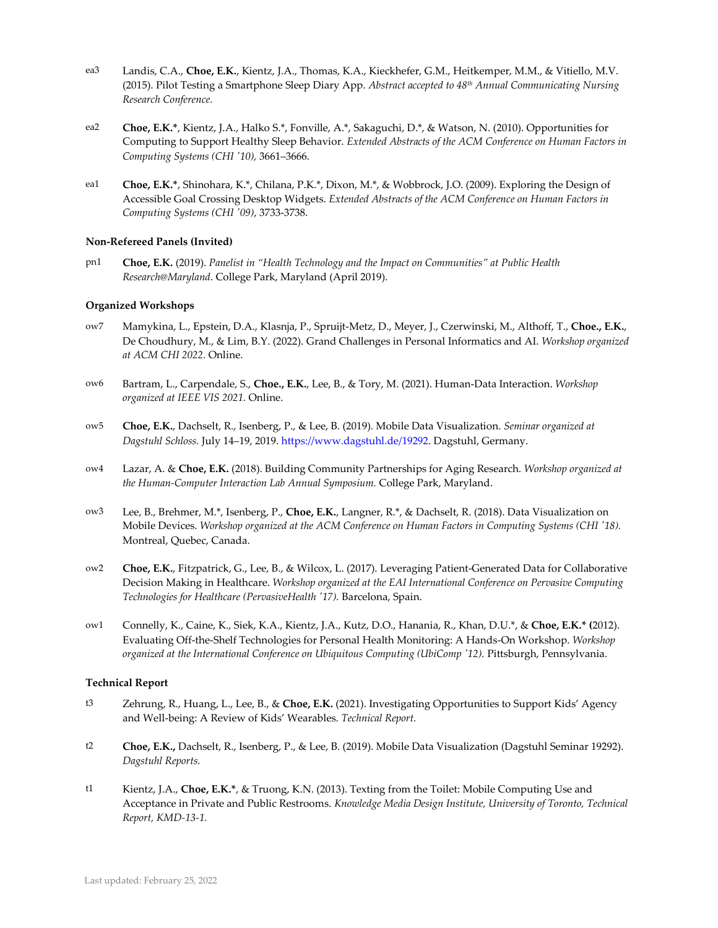- ea3 Landis, C.A., **Choe, E.K.**, Kientz, J.A., Thomas, K.A., Kieckhefer, G.M., Heitkemper, M.M., & Vitiello, M.V. (2015). Pilot Testing a Smartphone Sleep Diary App. *Abstract accepted to 48th Annual Communicating Nursing Research Conference.*
- ea2 **Choe, E.K.\***, Kientz, J.A., Halko S.\*, Fonville, A.\*, Sakaguchi, D.\*, & Watson, N. (2010). Opportunities for Computing to Support Healthy Sleep Behavior. *Extended Abstracts of the ACM Conference on Human Factors in Computing Systems (CHI '10),* 3661–3666.
- ea1 **Choe, E.K.\***, Shinohara, K.\*, Chilana, P.K.\*, Dixon, M.\*, & Wobbrock, J.O. (2009). Exploring the Design of Accessible Goal Crossing Desktop Widgets. *Extended Abstracts of the ACM Conference on Human Factors in Computing Systems (CHI '09)*, 3733-3738.

#### **Non-Refereed Panels (Invited)**

pn1 **Choe, E.K.** (2019). *Panelist in "Health Technology and the Impact on Communities" at Public Health Research@Maryland*. College Park, Maryland (April 2019).

#### **Organized Workshops**

- ow7 Mamykina, L., Epstein, D.A., Klasnja, P., Spruijt-Metz, D., Meyer, J., Czerwinski, M., Althoff, T., **Choe., E.K.**, De Choudhury, M., & Lim, B.Y. (2022). Grand Challenges in Personal Informatics and AI. *Workshop organized at ACM CHI 2022.* Online.
- ow6 Bartram, L., Carpendale, S., **Choe., E.K.**, Lee, B., & Tory, M. (2021). Human-Data Interaction. *Workshop organized at IEEE VIS 2021.* Online.
- ow5 **Choe, E.K.**, Dachselt, R., Isenberg, P., & Lee, B. (2019). Mobile Data Visualization. *Seminar organized at Dagstuhl Schloss.* July 14–19, 2019[. https://www.dagstuhl.de/19292.](https://www.dagstuhl.de/19292) Dagstuhl, Germany.
- ow4 Lazar, A. & **Choe, E.K.** (2018). Building Community Partnerships for Aging Research. *Workshop organized at the Human-Computer Interaction Lab Annual Symposium.* College Park, Maryland.
- ow3 Lee, B., Brehmer, M.\*, Isenberg, P., **Choe, E.K.**, Langner, R.\*, & Dachselt, R. (2018). Data Visualization on Mobile Devices. *Workshop organized at the ACM Conference on Human Factors in Computing Systems (CHI '18).* Montreal, Quebec, Canada.
- ow2 **Choe, E.K.**, Fitzpatrick, G., Lee, B., & Wilcox, L. (2017). Leveraging Patient-Generated Data for Collaborative Decision Making in Healthcare. *Workshop organized at the EAI International Conference on Pervasive Computing Technologies for Healthcare (PervasiveHealth '17).* Barcelona, Spain.
- ow1 Connelly, K., Caine, K., Siek, K.A., Kientz, J.A., Kutz, D.O., Hanania, R., Khan, D.U.\*, & **Choe, E.K.\* (**2012). Evaluating Off-the-Shelf Technologies for Personal Health Monitoring: A Hands-On Workshop. *Workshop organized at the International Conference on Ubiquitous Computing (UbiComp '12).* Pittsburgh, Pennsylvania.

#### **Technical Report**

- t3 Zehrung, R., Huang, L., Lee, B., & **Choe, E.K.** (2021). Investigating Opportunities to Support Kids' Agency and Well-being: A Review of Kids' Wearables. *Technical Report.*
- t2 **Choe, E.K.,** Dachselt, R., Isenberg, P., & Lee, B. (2019). Mobile Data Visualization (Dagstuhl Seminar 19292). *Dagstuhl Reports.*
- t1 Kientz, J.A., **Choe, E.K.\***, & Truong, K.N. (2013). Texting from the Toilet: Mobile Computing Use and Acceptance in Private and Public Restrooms. *Knowledge Media Design Institute, University of Toronto, Technical Report, KMD-13-1.*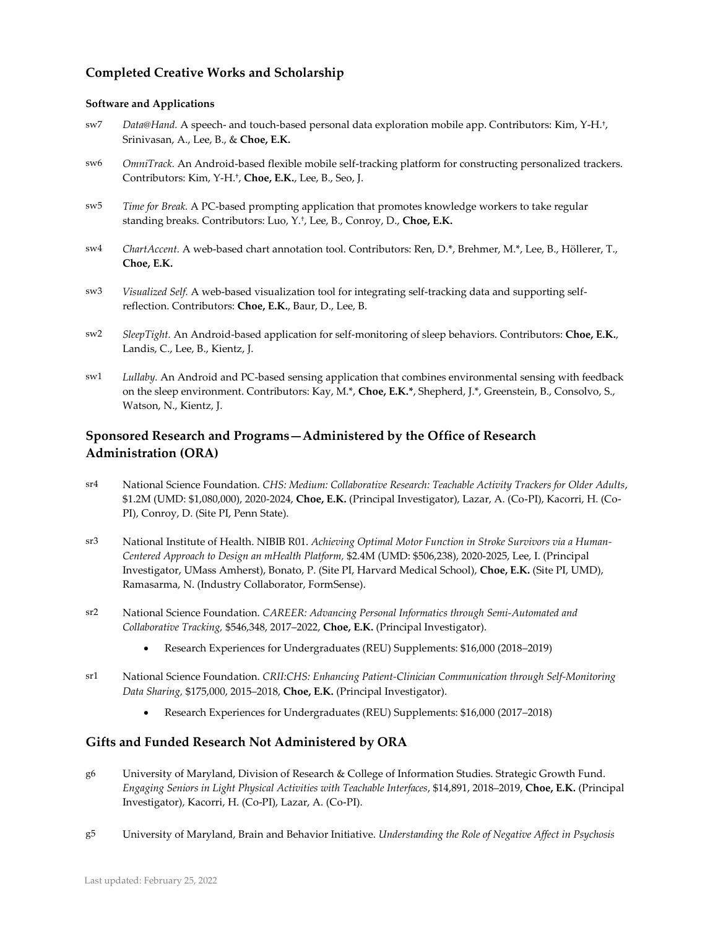## **Completed Creative Works and Scholarship**

#### **Software and Applications**

- sw7 *Data@Hand.* A speech- and touch-based personal data exploration mobile app. Contributors: Kim, Y-H.† , Srinivasan, A., Lee, B., & **Choe, E.K.**
- sw6 *OmniTrack.* An Android-based flexible mobile self-tracking platform for constructing personalized trackers. Contributors: Kim, Y-H.† , **Choe, E.K.**, Lee, B., Seo, J.
- sw5 *Time for Break.* A PC-based prompting application that promotes knowledge workers to take regular standing breaks. Contributors: Luo, Y.† , Lee, B., Conroy, D., **Choe, E.K.**
- sw4 *ChartAccent.* A web-based chart annotation tool. Contributors: Ren, D.\*, Brehmer, M.\*, Lee, B., Höllerer, T., **Choe, E.K.**
- sw3 *Visualized Self.* A web-based visualization tool for integrating self-tracking data and supporting selfreflection. Contributors: **Choe, E.K.**, Baur, D., Lee, B.
- sw2 *SleepTight.* An Android-based application for self-monitoring of sleep behaviors. Contributors: **Choe, E.K.**, Landis, C., Lee, B., Kientz, J.
- sw1 *Lullaby.* An Android and PC-based sensing application that combines environmental sensing with feedback on the sleep environment. Contributors: Kay, M.\*, **Choe, E.K.\***, Shepherd, J.\*, Greenstein, B., Consolvo, S., Watson, N., Kientz, J.

## **Sponsored Research and Programs—Administered by the Office of Research Administration (ORA)**

- sr4 National Science Foundation. *CHS: Medium: Collaborative Research: Teachable Activity Trackers for Older Adults*, \$1.2M (UMD: \$1,080,000), 2020-2024, **Choe, E.K.** (Principal Investigator), Lazar, A. (Co-PI), Kacorri, H. (Co-PI), Conroy, D. (Site PI, Penn State).
- sr3 National Institute of Health. NIBIB R01. *Achieving Optimal Motor Function in Stroke Survivors via a Human-Centered Approach to Design an mHealth Platform,* \$2.4M (UMD: \$506,238), 2020-2025, Lee, I. (Principal Investigator, UMass Amherst), Bonato, P. (Site PI, Harvard Medical School), **Choe, E.K.** (Site PI, UMD), Ramasarma, N. (Industry Collaborator, FormSense).
- sr2 National Science Foundation. *CAREER: Advancing Personal Informatics through Semi-Automated and Collaborative Tracking,* \$546,348, 2017–2022, **Choe, E.K.** (Principal Investigator).
	- Research Experiences for Undergraduates (REU) Supplements: \$16,000 (2018–2019)
- sr1 National Science Foundation. *CRII:CHS: Enhancing Patient-Clinician Communication through Self-Monitoring Data Sharing,* \$175,000, 2015–2018, **Choe, E.K.** (Principal Investigator).
	- Research Experiences for Undergraduates (REU) Supplements: \$16,000 (2017–2018)

## **Gifts and Funded Research Not Administered by ORA**

- g6 University of Maryland, Division of Research & College of Information Studies. Strategic Growth Fund. *Engaging Seniors in Light Physical Activities with Teachable Interfaces*, \$14,891, 2018–2019, **Choe, E.K.** (Principal Investigator), Kacorri, H. (Co-PI), Lazar, A. (Co-PI).
- g5 University of Maryland, Brain and Behavior Initiative. *Understanding the Role of Negative Affect in Psychosis*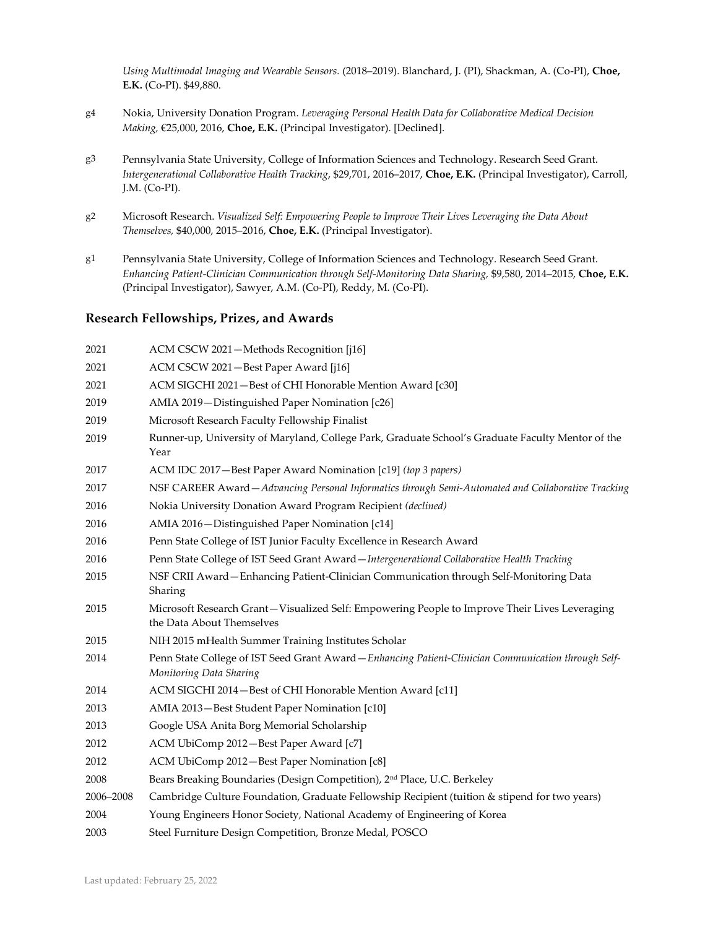*Using Multimodal Imaging and Wearable Sensors.* (2018–2019). Blanchard, J. (PI), Shackman, A. (Co-PI), **Choe, E.K.** (Co-PI). \$49,880.

- g4 Nokia, University Donation Program. *Leveraging Personal Health Data for Collaborative Medical Decision Making,* €25,000, 2016, **Choe, E.K.** (Principal Investigator). [Declined].
- g3 Pennsylvania State University, College of Information Sciences and Technology. Research Seed Grant. *Intergenerational Collaborative Health Tracking*, \$29,701, 2016–2017, **Choe, E.K.** (Principal Investigator), Carroll, J.M. (Co-PI).
- g2 Microsoft Research. *Visualized Self: Empowering People to Improve Their Lives Leveraging the Data About Themselves,* \$40,000, 2015–2016, **Choe, E.K.** (Principal Investigator).
- g1 Pennsylvania State University, College of Information Sciences and Technology. Research Seed Grant. *Enhancing Patient-Clinician Communication through Self-Monitoring Data Sharing,* \$9,580, 2014–2015, **Choe, E.K.** (Principal Investigator), Sawyer, A.M. (Co-PI), Reddy, M. (Co-PI).

## **Research Fellowships, Prizes, and Awards**

 ACM CSCW 2021—Methods Recognition [j16] ACM CSCW 2021—Best Paper Award [j16] ACM SIGCHI 2021—Best of CHI Honorable Mention Award [c30] AMIA 2019—Distinguished Paper Nomination [c26] Microsoft Research Faculty Fellowship Finalist Runner-up, University of Maryland, College Park, Graduate School's Graduate Faculty Mentor of the Year ACM IDC 2017—Best Paper Award Nomination [c19] *(top 3 papers)* NSF CAREER Award—*Advancing Personal Informatics through Semi-Automated and Collaborative Tracking* Nokia University Donation Award Program Recipient *(declined)* AMIA 2016—Distinguished Paper Nomination [c14] Penn State College of IST Junior Faculty Excellence in Research Award Penn State College of IST Seed Grant Award—*Intergenerational Collaborative Health Tracking* NSF CRII Award—Enhancing Patient-Clinician Communication through Self-Monitoring Data Sharing Microsoft Research Grant—Visualized Self: Empowering People to Improve Their Lives Leveraging the Data About Themselves NIH 2015 mHealth Summer Training Institutes Scholar Penn State College of IST Seed Grant Award—*Enhancing Patient-Clinician Communication through Self-Monitoring Data Sharing* ACM SIGCHI 2014—Best of CHI Honorable Mention Award [c11] AMIA 2013—Best Student Paper Nomination [c10] Google USA Anita Borg Memorial Scholarship ACM UbiComp 2012—Best Paper Award [c7] ACM UbiComp 2012—Best Paper Nomination [c8] Bears Breaking Boundaries (Design Competition), 2nd Place, U.C. Berkeley –2008 Cambridge Culture Foundation, Graduate Fellowship Recipient (tuition & stipend for two years) Young Engineers Honor Society, National Academy of Engineering of Korea Steel Furniture Design Competition, Bronze Medal, POSCO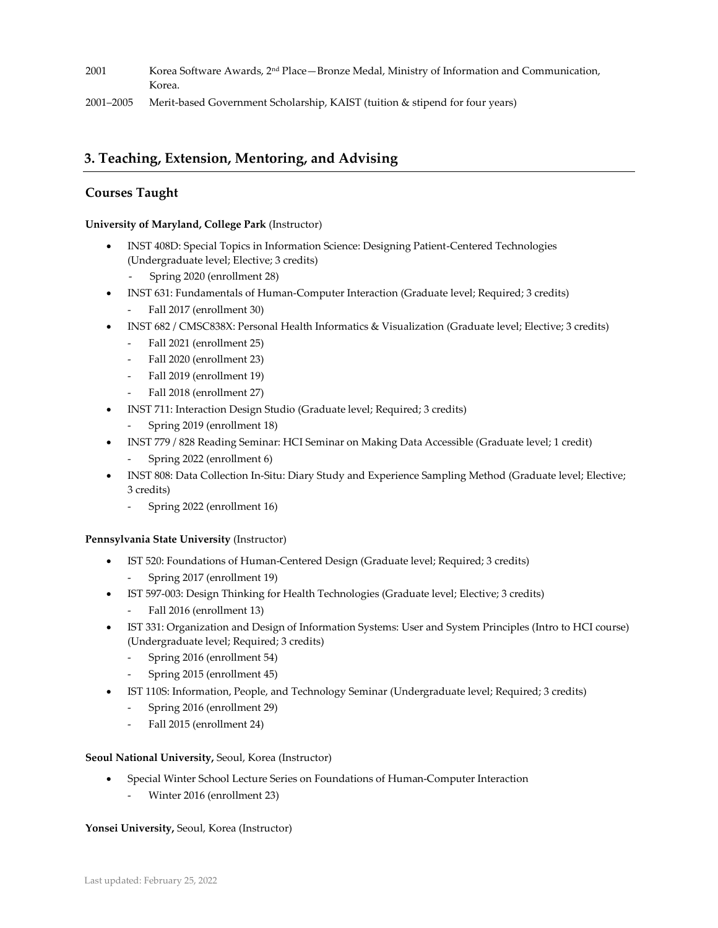- 2001 Korea Software Awards, 2nd Place—Bronze Medal, Ministry of Information and Communication, Korea.
- 2001–2005 Merit-based Government Scholarship, KAIST (tuition & stipend for four years)

# **3. Teaching, Extension, Mentoring, and Advising**

## **Courses Taught**

**University of Maryland, College Park** (Instructor)

- INST 408D: Special Topics in Information Science: Designing Patient-Centered Technologies (Undergraduate level; Elective; 3 credits)
	- Spring 2020 (enrollment 28)
- INST 631: Fundamentals of Human-Computer Interaction (Graduate level; Required; 3 credits) Fall 2017 (enrollment 30)
- INST 682 / CMSC838X: Personal Health Informatics & Visualization (Graduate level; Elective; 3 credits)
	- Fall 2021 (enrollment 25)
	- Fall 2020 (enrollment 23)
	- Fall 2019 (enrollment 19)
	- Fall 2018 (enrollment 27)
- INST 711: Interaction Design Studio (Graduate level; Required; 3 credits)
	- Spring 2019 (enrollment 18)
- INST 779 / 828 Reading Seminar: HCI Seminar on Making Data Accessible (Graduate level; 1 credit)
	- Spring 2022 (enrollment 6)
- INST 808: Data Collection In-Situ: Diary Study and Experience Sampling Method (Graduate level; Elective; 3 credits)
	- Spring 2022 (enrollment 16)

## **Pennsylvania State University** (Instructor)

- IST 520: Foundations of Human-Centered Design (Graduate level; Required; 3 credits) - Spring 2017 (enrollment 19)
- IST 597-003: Design Thinking for Health Technologies (Graduate level; Elective; 3 credits)
	- Fall 2016 (enrollment 13)
- IST 331: Organization and Design of Information Systems: User and System Principles (Intro to HCI course) (Undergraduate level; Required; 3 credits)
	- Spring 2016 (enrollment 54)
	- Spring 2015 (enrollment 45)
- IST 110S: Information, People, and Technology Seminar (Undergraduate level; Required; 3 credits)
	- Spring 2016 (enrollment 29)
	- Fall 2015 (enrollment 24)

## **Seoul National University,** Seoul, Korea (Instructor)

- Special Winter School Lecture Series on Foundations of Human-Computer Interaction
	- Winter 2016 (enrollment 23)

## **Yonsei University,** Seoul, Korea (Instructor)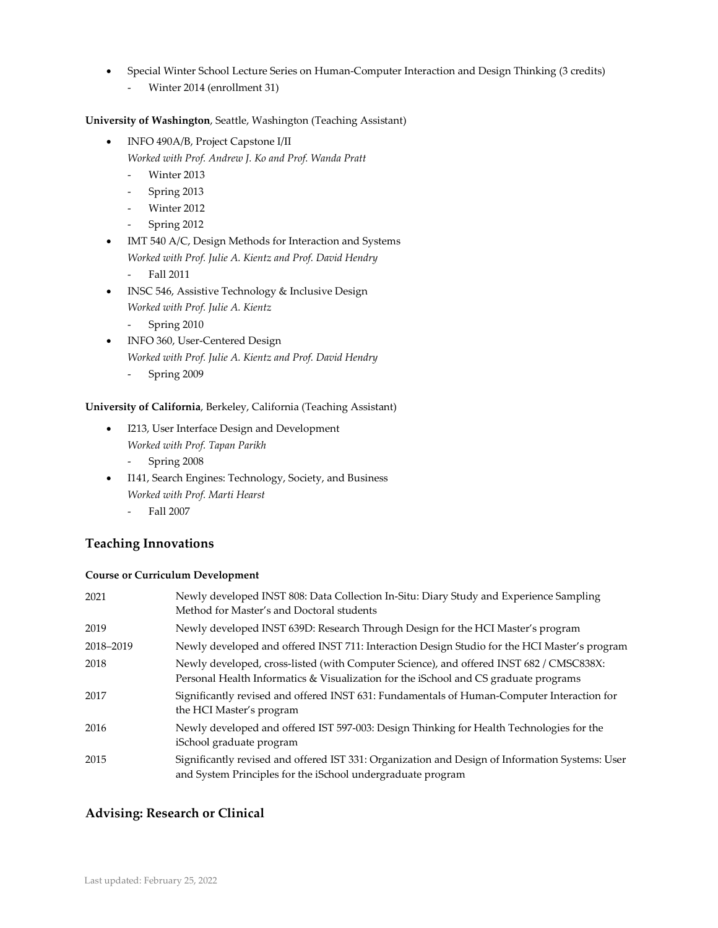- Special Winter School Lecture Series on Human-Computer Interaction and Design Thinking (3 credits)
	- Winter 2014 (enrollment 31)

## **University of Washington**, Seattle, Washington (Teaching Assistant)

- INFO 490A/B, Project Capstone I/II *Worked with Prof. Andrew J. Ko and Prof. Wanda Pratt*
	- Winter 2013
	- Spring 2013
	- Winter 2012
	- Spring 2012
- IMT 540 A/C, Design Methods for Interaction and Systems *Worked with Prof. Julie A. Kientz and Prof. David Hendry*
	- Fall 2011
- INSC 546, Assistive Technology & Inclusive Design
	- *Worked with Prof. Julie A. Kientz*
	- Spring 2010
- INFO 360, User-Centered Design *Worked with Prof. Julie A. Kientz and Prof. David Hendry*
	- Spring 2009

## **University of California**, Berkeley, California (Teaching Assistant)

- I213, User Interface Design and Development *Worked with Prof. Tapan Parikh*
	- Spring 2008
- I141, Search Engines: Technology, Society, and Business *Worked with Prof. Marti Hearst*
	- Fall 2007

# **Teaching Innovations**

## **Course or Curriculum Development**

| 2021      | Newly developed INST 808: Data Collection In-Situ: Diary Study and Experience Sampling<br>Method for Master's and Doctoral students                                             |
|-----------|---------------------------------------------------------------------------------------------------------------------------------------------------------------------------------|
| 2019      | Newly developed INST 639D: Research Through Design for the HCI Master's program                                                                                                 |
| 2018-2019 | Newly developed and offered INST 711: Interaction Design Studio for the HCI Master's program                                                                                    |
| 2018      | Newly developed, cross-listed (with Computer Science), and offered INST 682 / CMSC838X:<br>Personal Health Informatics & Visualization for the iSchool and CS graduate programs |
| 2017      | Significantly revised and offered INST 631: Fundamentals of Human-Computer Interaction for<br>the HCI Master's program                                                          |
| 2016      | Newly developed and offered IST 597-003: Design Thinking for Health Technologies for the<br>iSchool graduate program                                                            |
| 2015      | Significantly revised and offered IST 331: Organization and Design of Information Systems: User<br>and System Principles for the iSchool undergraduate program                  |

## **Advising: Research or Clinical**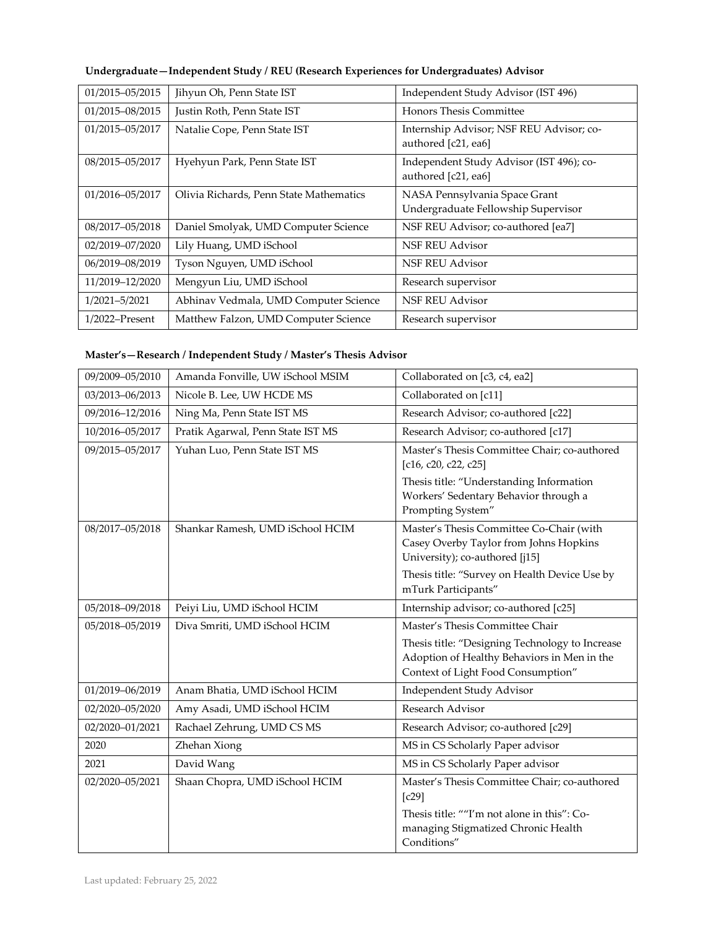|  |  | Undergraduate-Independent Study / REU (Research Experiences for Undergraduates) Advisor |  |
|--|--|-----------------------------------------------------------------------------------------|--|
|  |  |                                                                                         |  |

| 01/2015-05/2015   | Jihyun Oh, Penn State IST               | Independent Study Advisor (IST 496)                                  |
|-------------------|-----------------------------------------|----------------------------------------------------------------------|
| 01/2015-08/2015   | Justin Roth, Penn State IST             | <b>Honors Thesis Committee</b>                                       |
| 01/2015-05/2017   | Natalie Cope, Penn State IST            | Internship Advisor; NSF REU Advisor; co-<br>authored [c21, ea6]      |
| 08/2015-05/2017   | Hyehyun Park, Penn State IST            | Independent Study Advisor (IST 496); co-<br>authored [c21, ea6]      |
| 01/2016-05/2017   | Olivia Richards, Penn State Mathematics | NASA Pennsylvania Space Grant<br>Undergraduate Fellowship Supervisor |
| 08/2017-05/2018   | Daniel Smolyak, UMD Computer Science    | NSF REU Advisor; co-authored [ea7]                                   |
| 02/2019-07/2020   | Lily Huang, UMD iSchool                 | <b>NSF REU Advisor</b>                                               |
| 06/2019-08/2019   | Tyson Nguyen, UMD iSchool               | <b>NSF REU Advisor</b>                                               |
| 11/2019-12/2020   | Mengyun Liu, UMD iSchool                | Research supervisor                                                  |
| 1/2021-5/2021     | Abhinav Vedmala, UMD Computer Science   | <b>NSF REU Advisor</b>                                               |
| $1/2022$ –Present | Matthew Falzon, UMD Computer Science    | Research supervisor                                                  |

# **Master's—Research / Independent Study / Master's Thesis Advisor**

| 09/2009-05/2010 | Amanda Fonville, UW iSchool MSIM  | Collaborated on [c3, c4, ea2]                                                                                                        |
|-----------------|-----------------------------------|--------------------------------------------------------------------------------------------------------------------------------------|
| 03/2013-06/2013 | Nicole B. Lee, UW HCDE MS         | Collaborated on [c11]                                                                                                                |
| 09/2016-12/2016 | Ning Ma, Penn State IST MS        | Research Advisor; co-authored [c22]                                                                                                  |
| 10/2016-05/2017 | Pratik Agarwal, Penn State IST MS | Research Advisor; co-authored [c17]                                                                                                  |
| 09/2015-05/2017 | Yuhan Luo, Penn State IST MS      | Master's Thesis Committee Chair; co-authored<br>[c16, c20, c22, c25]                                                                 |
|                 |                                   | Thesis title: "Understanding Information<br>Workers' Sedentary Behavior through a<br>Prompting System"                               |
| 08/2017-05/2018 | Shankar Ramesh, UMD iSchool HCIM  | Master's Thesis Committee Co-Chair (with<br>Casey Overby Taylor from Johns Hopkins<br>University); co-authored [j15]                 |
|                 |                                   | Thesis title: "Survey on Health Device Use by<br>mTurk Participants"                                                                 |
| 05/2018-09/2018 | Peiyi Liu, UMD iSchool HCIM       | Internship advisor; co-authored [c25]                                                                                                |
| 05/2018-05/2019 | Diva Smriti, UMD iSchool HCIM     | Master's Thesis Committee Chair                                                                                                      |
|                 |                                   | Thesis title: "Designing Technology to Increase<br>Adoption of Healthy Behaviors in Men in the<br>Context of Light Food Consumption" |
| 01/2019-06/2019 | Anam Bhatia, UMD iSchool HCIM     | Independent Study Advisor                                                                                                            |
| 02/2020-05/2020 | Amy Asadi, UMD iSchool HCIM       | Research Advisor                                                                                                                     |
| 02/2020-01/2021 | Rachael Zehrung, UMD CS MS        | Research Advisor; co-authored [c29]                                                                                                  |
| 2020            | Zhehan Xiong                      | MS in CS Scholarly Paper advisor                                                                                                     |
| 2021            | David Wang                        | MS in CS Scholarly Paper advisor                                                                                                     |
| 02/2020-05/2021 | Shaan Chopra, UMD iSchool HCIM    | Master's Thesis Committee Chair; co-authored<br>[c29]                                                                                |
|                 |                                   | Thesis title: ""I'm not alone in this": Co-<br>managing Stigmatized Chronic Health<br>Conditions"                                    |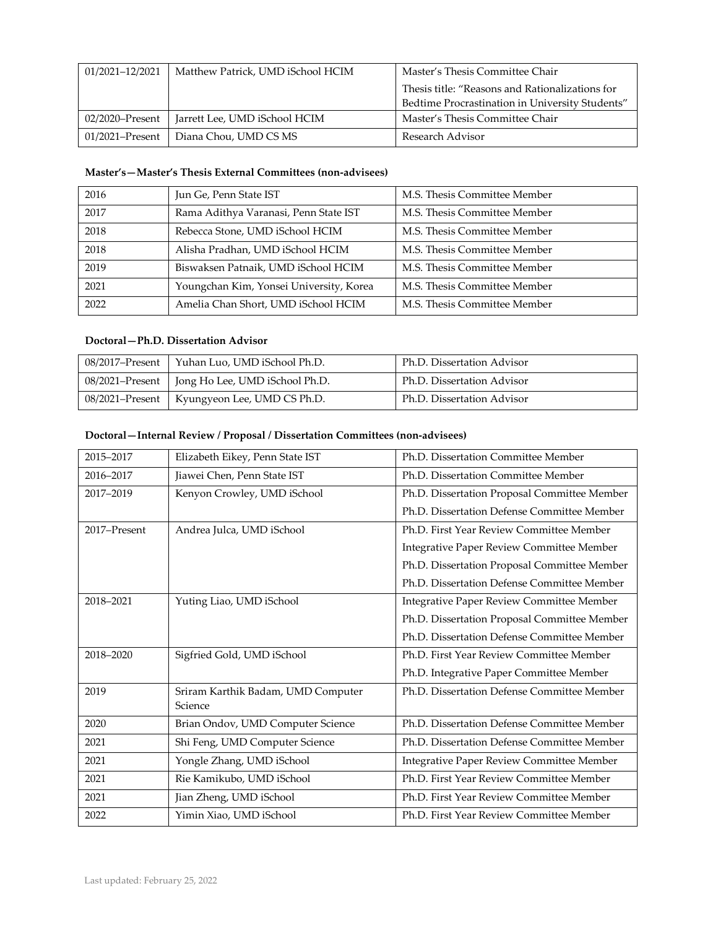| 01/2021-12/2021 | Matthew Patrick, UMD iSchool HCIM | Master's Thesis Committee Chair                 |
|-----------------|-----------------------------------|-------------------------------------------------|
|                 |                                   | Thesis title: "Reasons and Rationalizations for |
|                 |                                   | Bedtime Procrastination in University Students" |
| 02/2020–Present | Jarrett Lee, UMD iSchool HCIM     | Master's Thesis Committee Chair                 |
| 01/2021–Present | Diana Chou, UMD CS MS             | Research Advisor                                |

## **Master's—Master's Thesis External Committees (non-advisees)**

| 2016 | Jun Ge, Penn State IST                  | M.S. Thesis Committee Member |
|------|-----------------------------------------|------------------------------|
| 2017 | Rama Adithya Varanasi, Penn State IST   | M.S. Thesis Committee Member |
| 2018 | Rebecca Stone, UMD iSchool HCIM         | M.S. Thesis Committee Member |
| 2018 | Alisha Pradhan, UMD iSchool HCIM        | M.S. Thesis Committee Member |
| 2019 | Biswaksen Patnaik, UMD iSchool HCIM     | M.S. Thesis Committee Member |
| 2021 | Youngchan Kim, Yonsei University, Korea | M.S. Thesis Committee Member |
| 2022 | Amelia Chan Short, UMD iSchool HCIM     | M.S. Thesis Committee Member |

## **Doctoral—Ph.D. Dissertation Advisor**

| 08/2017–Present   Yuhan Luo, UMD iSchool Ph.D.   | Ph.D. Dissertation Advisor |
|--------------------------------------------------|----------------------------|
| 08/2021–Present   Jong Ho Lee, UMD iSchool Ph.D. | Ph.D. Dissertation Advisor |
| 08/2021–Present   Kyungyeon Lee, UMD CS Ph.D.    | Ph.D. Dissertation Advisor |

## **Doctoral—Internal Review / Proposal / Dissertation Committees (non-advisees)**

| 2015-2017    | Elizabeth Eikey, Penn State IST               | Ph.D. Dissertation Committee Member          |
|--------------|-----------------------------------------------|----------------------------------------------|
| 2016-2017    | Jiawei Chen, Penn State IST                   | Ph.D. Dissertation Committee Member          |
| 2017-2019    | Kenyon Crowley, UMD iSchool                   | Ph.D. Dissertation Proposal Committee Member |
|              |                                               | Ph.D. Dissertation Defense Committee Member  |
| 2017-Present | Andrea Julca, UMD iSchool                     | Ph.D. First Year Review Committee Member     |
|              |                                               | Integrative Paper Review Committee Member    |
|              |                                               | Ph.D. Dissertation Proposal Committee Member |
|              |                                               | Ph.D. Dissertation Defense Committee Member  |
| 2018-2021    | Yuting Liao, UMD iSchool                      | Integrative Paper Review Committee Member    |
|              |                                               | Ph.D. Dissertation Proposal Committee Member |
|              |                                               | Ph.D. Dissertation Defense Committee Member  |
| 2018-2020    | Sigfried Gold, UMD iSchool                    | Ph.D. First Year Review Committee Member     |
|              |                                               | Ph.D. Integrative Paper Committee Member     |
| 2019         | Sriram Karthik Badam, UMD Computer<br>Science | Ph.D. Dissertation Defense Committee Member  |
|              |                                               |                                              |
| 2020         | Brian Ondov, UMD Computer Science             | Ph.D. Dissertation Defense Committee Member  |
| 2021         | Shi Feng, UMD Computer Science                | Ph.D. Dissertation Defense Committee Member  |
| 2021         | Yongle Zhang, UMD iSchool                     | Integrative Paper Review Committee Member    |
| 2021         | Rie Kamikubo, UMD iSchool                     | Ph.D. First Year Review Committee Member     |
| 2021         | Jian Zheng, UMD iSchool                       | Ph.D. First Year Review Committee Member     |
| 2022         | Yimin Xiao, UMD iSchool                       | Ph.D. First Year Review Committee Member     |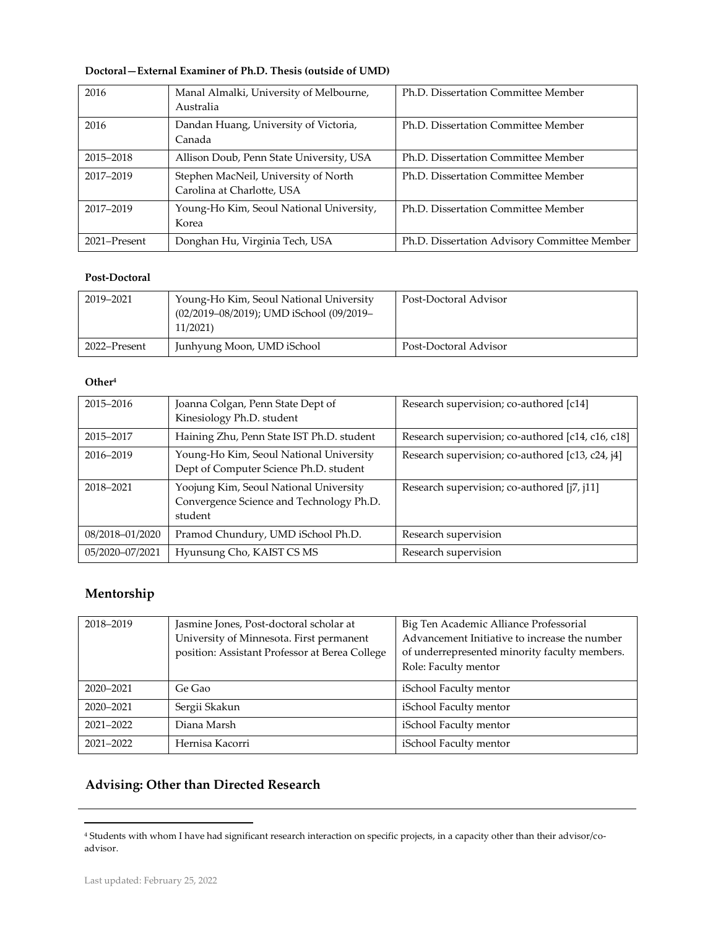| 2016         | Manal Almalki, University of Melbourne,<br>Australia               | Ph.D. Dissertation Committee Member          |
|--------------|--------------------------------------------------------------------|----------------------------------------------|
| 2016         | Dandan Huang, University of Victoria,<br>Canada                    | Ph.D. Dissertation Committee Member          |
| 2015-2018    | Allison Doub, Penn State University, USA                           | Ph.D. Dissertation Committee Member          |
| 2017-2019    | Stephen MacNeil, University of North<br>Carolina at Charlotte, USA | Ph.D. Dissertation Committee Member          |
| 2017-2019    | Young-Ho Kim, Seoul National University,<br>Korea                  | Ph.D. Dissertation Committee Member          |
| 2021–Present | Donghan Hu, Virginia Tech, USA                                     | Ph.D. Dissertation Advisory Committee Member |

## **Doctoral—External Examiner of Ph.D. Thesis (outside of UMD)**

## **Post-Doctoral**

| 2019–2021    | Young-Ho Kim, Seoul National University<br>(02/2019-08/2019); UMD iSchool (09/2019-<br>11/2021) | Post-Doctoral Advisor |
|--------------|-------------------------------------------------------------------------------------------------|-----------------------|
| 2022–Present | Junhyung Moon, UMD iSchool                                                                      | Post-Doctoral Advisor |

## **Other<sup>4</sup>**

| 2015-2016       | Joanna Colgan, Penn State Dept of<br>Kinesiology Ph.D. student                                | Research supervision; co-authored [c14]           |
|-----------------|-----------------------------------------------------------------------------------------------|---------------------------------------------------|
| 2015-2017       | Haining Zhu, Penn State IST Ph.D. student                                                     | Research supervision; co-authored [c14, c16, c18] |
| 2016-2019       | Young-Ho Kim, Seoul National University<br>Dept of Computer Science Ph.D. student             | Research supervision; co-authored [c13, c24, j4]  |
| 2018-2021       | Yoojung Kim, Seoul National University<br>Convergence Science and Technology Ph.D.<br>student | Research supervision; co-authored [j7, j11]       |
| 08/2018-01/2020 | Pramod Chundury, UMD iSchool Ph.D.                                                            | Research supervision                              |
| 05/2020-07/2021 | Hyunsung Cho, KAIST CS MS                                                                     | Research supervision                              |

# **Mentorship**

| 2018-2019 | Jasmine Jones, Post-doctoral scholar at<br>University of Minnesota. First permanent<br>position: Assistant Professor at Berea College | Big Ten Academic Alliance Professorial<br>Advancement Initiative to increase the number<br>of underrepresented minority faculty members.<br>Role: Faculty mentor |
|-----------|---------------------------------------------------------------------------------------------------------------------------------------|------------------------------------------------------------------------------------------------------------------------------------------------------------------|
| 2020-2021 | Ge Gao                                                                                                                                | iSchool Faculty mentor                                                                                                                                           |
| 2020-2021 | Sergii Skakun                                                                                                                         | iSchool Faculty mentor                                                                                                                                           |
| 2021-2022 | Diana Marsh                                                                                                                           | iSchool Faculty mentor                                                                                                                                           |
| 2021-2022 | Hernisa Kacorri                                                                                                                       | iSchool Faculty mentor                                                                                                                                           |

# **Advising: Other than Directed Research**

<sup>4</sup> Students with whom I have had significant research interaction on specific projects, in a capacity other than their advisor/coadvisor.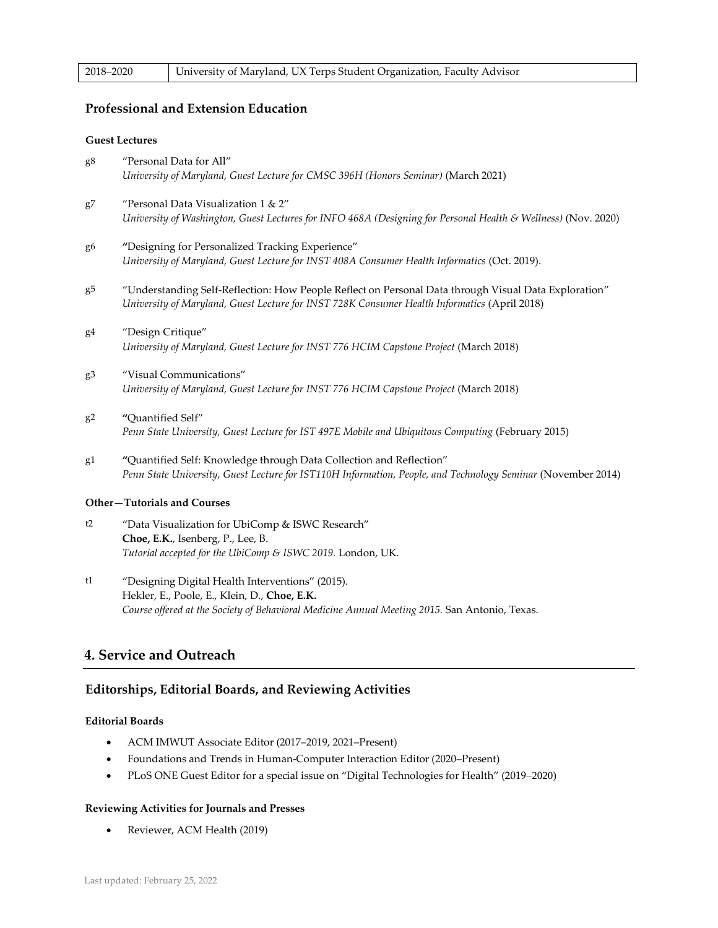| 2018-2020 | University of Maryland, UX Terps Student Organization, Faculty Advisor |
|-----------|------------------------------------------------------------------------|
|-----------|------------------------------------------------------------------------|

## **Professional and Extension Education**

#### **Guest Lectures**

- g8 "Personal Data for All" *University of Maryland, Guest Lecture for CMSC 396H (Honors Seminar)* (March 2021)
- g7 "Personal Data Visualization 1 & 2" *University of Washington, Guest Lectures for INFO 468A (Designing for Personal Health & Wellness)* (Nov. 2020)
- g6 **"**Designing for Personalized Tracking Experience" *University of Maryland, Guest Lecture for INST 408A Consumer Health Informatics* (Oct. 2019).
- g5 "Understanding Self-Reflection: How People Reflect on Personal Data through Visual Data Exploration" *University of Maryland, Guest Lecture for INST 728K Consumer Health Informatics* (April 2018)
- g4 "Design Critique" *University of Maryland, Guest Lecture for INST 776 HCIM Capstone Project* (March 2018)
- g3 "Visual Communications" *University of Maryland, Guest Lecture for INST 776 HCIM Capstone Project* (March 2018)
- g2 **"**Quantified Self" *Penn State University, Guest Lecture for IST 497E Mobile and Ubiquitous Computing* (February 2015)
- g1 **"**Quantified Self: Knowledge through Data Collection and Reflection" *Penn State University, Guest Lecture for IST110H Information, People, and Technology Seminar* (November 2014)

#### **Other—Tutorials and Courses**

- t2 "Data Visualization for UbiComp & ISWC Research" **Choe, E.K.**, Isenberg, P., Lee, B. *Tutorial accepted for the UbiComp & ISWC 2019.* London, UK.
- t1 "Designing Digital Health Interventions" (2015). Hekler, E., Poole, E., Klein, D., **Choe, E.K.** *Course offered at the Society of Behavioral Medicine Annual Meeting 2015.* San Antonio, Texas.

## **4. Service and Outreach**

## **Editorships, Editorial Boards, and Reviewing Activities**

#### **Editorial Boards**

- ACM IMWUT Associate Editor (2017–2019, 2021–Present)
- Foundations and Trends in Human-Computer Interaction Editor (2020–Present)
- PLoS ONE Guest Editor for a special issue on "Digital Technologies for Health" (2019–2020)

#### **Reviewing Activities for Journals and Presses**

• Reviewer, ACM Health (2019)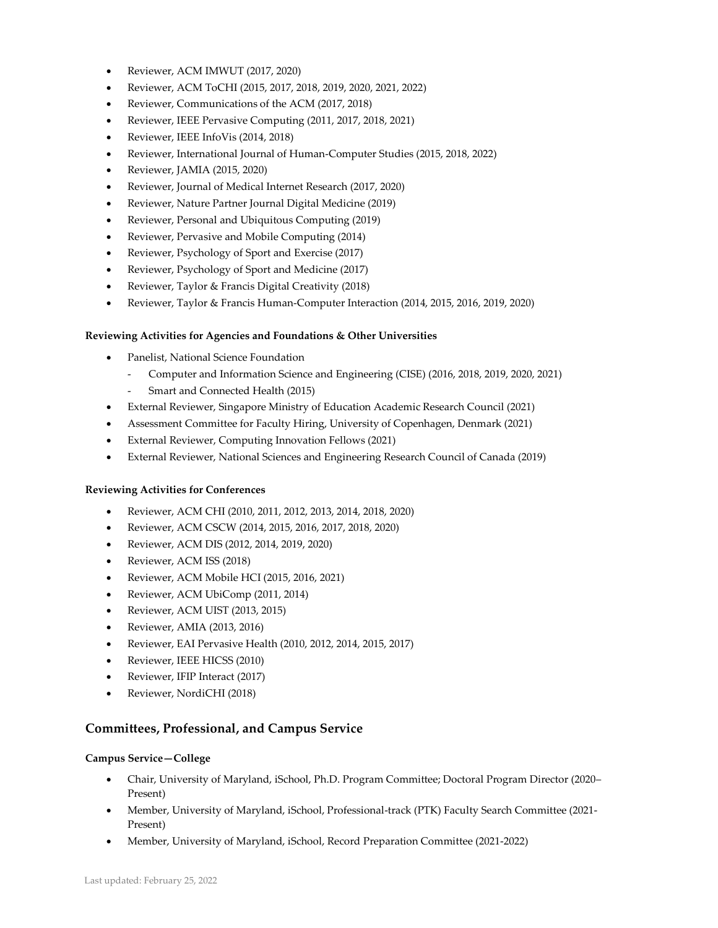- Reviewer, ACM IMWUT (2017, 2020)
- Reviewer, ACM ToCHI (2015, 2017, 2018, 2019, 2020, 2021, 2022)
- Reviewer, Communications of the ACM (2017, 2018)
- Reviewer, IEEE Pervasive Computing (2011, 2017, 2018, 2021)
- Reviewer, IEEE InfoVis (2014, 2018)
- Reviewer, International Journal of Human-Computer Studies (2015, 2018, 2022)
- Reviewer, JAMIA (2015, 2020)
- Reviewer, Journal of Medical Internet Research (2017, 2020)
- Reviewer, Nature Partner Journal Digital Medicine (2019)
- Reviewer, Personal and Ubiquitous Computing (2019)
- Reviewer, Pervasive and Mobile Computing (2014)
- Reviewer, Psychology of Sport and Exercise (2017)
- Reviewer, Psychology of Sport and Medicine (2017)
- Reviewer, Taylor & Francis Digital Creativity (2018)
- Reviewer, Taylor & Francis Human-Computer Interaction (2014, 2015, 2016, 2019, 2020)

#### **Reviewing Activities for Agencies and Foundations & Other Universities**

- Panelist, National Science Foundation
	- Computer and Information Science and Engineering (CISE) (2016, 2018, 2019, 2020, 2021)
	- Smart and Connected Health (2015)
- External Reviewer, Singapore Ministry of Education Academic Research Council (2021)
- Assessment Committee for Faculty Hiring, University of Copenhagen, Denmark (2021)
- External Reviewer, Computing Innovation Fellows (2021)
- External Reviewer, National Sciences and Engineering Research Council of Canada (2019)

## **Reviewing Activities for Conferences**

- Reviewer, ACM CHI (2010, 2011, 2012, 2013, 2014, 2018, 2020)
- Reviewer, ACM CSCW (2014, 2015, 2016, 2017, 2018, 2020)
- Reviewer, ACM DIS (2012, 2014, 2019, 2020)
- Reviewer, ACM ISS (2018)
- Reviewer, ACM Mobile HCI (2015, 2016, 2021)
- Reviewer, ACM UbiComp (2011, 2014)
- Reviewer, ACM UIST (2013, 2015)
- Reviewer, AMIA (2013, 2016)
- Reviewer, EAI Pervasive Health (2010, 2012, 2014, 2015, 2017)
- Reviewer, IEEE HICSS (2010)
- Reviewer, IFIP Interact (2017)
- Reviewer, NordiCHI (2018)

## **Committees, Professional, and Campus Service**

## **Campus Service—College**

- Chair, University of Maryland, iSchool, Ph.D. Program Committee; Doctoral Program Director (2020– Present)
- Member, University of Maryland, iSchool, Professional-track (PTK) Faculty Search Committee (2021- Present)
- Member, University of Maryland, iSchool, Record Preparation Committee (2021-2022)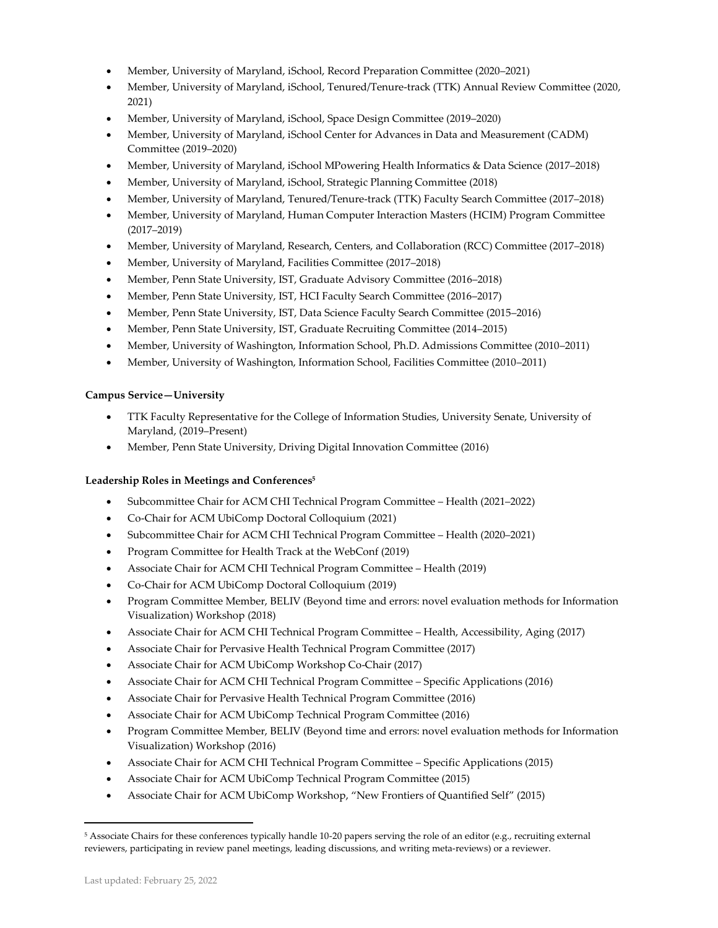- Member, University of Maryland, iSchool, Record Preparation Committee (2020–2021)
- Member, University of Maryland, iSchool, Tenured/Tenure-track (TTK) Annual Review Committee (2020, 2021)
- Member, University of Maryland, iSchool, Space Design Committee (2019–2020)
- Member, University of Maryland, iSchool Center for Advances in Data and Measurement (CADM) Committee (2019–2020)
- Member, University of Maryland, iSchool MPowering Health Informatics & Data Science (2017–2018)
- Member, University of Maryland, iSchool, Strategic Planning Committee (2018)
- Member, University of Maryland, Tenured/Tenure-track (TTK) Faculty Search Committee (2017–2018)
- Member, University of Maryland, Human Computer Interaction Masters (HCIM) Program Committee (2017–2019)
- Member, University of Maryland, Research, Centers, and Collaboration (RCC) Committee (2017–2018)
- Member, University of Maryland, Facilities Committee (2017–2018)
- Member, Penn State University, IST, Graduate Advisory Committee (2016–2018)
- Member, Penn State University, IST, HCI Faculty Search Committee (2016–2017)
- Member, Penn State University, IST, Data Science Faculty Search Committee (2015–2016)
- Member, Penn State University, IST, Graduate Recruiting Committee (2014–2015)
- Member, University of Washington, Information School, Ph.D. Admissions Committee (2010–2011)
- Member, University of Washington, Information School, Facilities Committee (2010–2011)

## **Campus Service—University**

- TTK Faculty Representative for the College of Information Studies, University Senate, University of Maryland, (2019–Present)
- Member, Penn State University, Driving Digital Innovation Committee (2016)

## **Leadership Roles in Meetings and Conferences<sup>5</sup>**

- Subcommittee Chair for ACM CHI Technical Program Committee Health (2021–2022)
- Co-Chair for ACM UbiComp Doctoral Colloquium (2021)
- Subcommittee Chair for ACM CHI Technical Program Committee Health (2020–2021)
- Program Committee for Health Track at the WebConf (2019)
- Associate Chair for ACM CHI Technical Program Committee Health (2019)
- Co-Chair for ACM UbiComp Doctoral Colloquium (2019)
- Program Committee Member, BELIV (Beyond time and errors: novel evaluation methods for Information Visualization) Workshop (2018)
- Associate Chair for ACM CHI Technical Program Committee Health, Accessibility, Aging (2017)
- Associate Chair for Pervasive Health Technical Program Committee (2017)
- Associate Chair for ACM UbiComp Workshop Co-Chair (2017)
- Associate Chair for ACM CHI Technical Program Committee Specific Applications (2016)
- Associate Chair for Pervasive Health Technical Program Committee (2016)
- Associate Chair for ACM UbiComp Technical Program Committee (2016)
- Program Committee Member, BELIV (Beyond time and errors: novel evaluation methods for Information Visualization) Workshop (2016)
- Associate Chair for ACM CHI Technical Program Committee Specific Applications (2015)
- Associate Chair for ACM UbiComp Technical Program Committee (2015)
- Associate Chair for ACM UbiComp Workshop, "New Frontiers of Quantified Self" (2015)

<sup>5</sup> Associate Chairs for these conferences typically handle 10-20 papers serving the role of an editor (e.g., recruiting external reviewers, participating in review panel meetings, leading discussions, and writing meta-reviews) or a reviewer.